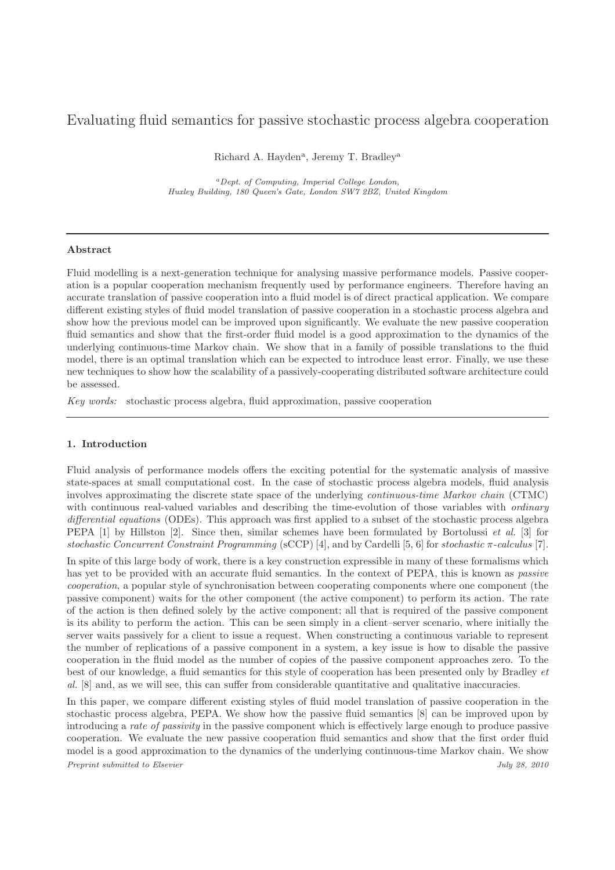# Evaluating fluid semantics for passive stochastic process algebra cooperation

Richard A. Hayden<sup>a</sup>, Jeremy T. Bradley<sup>a</sup>

<sup>a</sup>*Dept. of Computing, Imperial College London, Huxley Building, 180 Queen's Gate, London SW7 2BZ, United Kingdom*

#### Abstract

Fluid modelling is a next-generation technique for analysing massive performance models. Passive cooperation is a popular cooperation mechanism frequently used by performance engineers. Therefore having an accurate translation of passive cooperation into a fluid model is of direct practical application. We compare different existing styles of fluid model translation of passive cooperation in a stochastic process algebra and show how the previous model can be improved upon significantly. We evaluate the new passive cooperation fluid semantics and show that the first-order fluid model is a good approximation to the dynamics of the underlying continuous-time Markov chain. We show that in a family of possible translations to the fluid model, there is an optimal translation which can be expected to introduce least error. Finally, we use these new techniques to show how the scalability of a passively-cooperating distributed software architecture could be assessed.

*Key words:* stochastic process algebra, fluid approximation, passive cooperation

## 1. Introduction

Fluid analysis of performance models offers the exciting potential for the systematic analysis of massive state-spaces at small computational cost. In the case of stochastic process algebra models, fluid analysis involves approximating the discrete state space of the underlying *continuous-time Markov chain* (CTMC) with continuous real-valued variables and describing the time-evolution of those variables with *ordinary differential equations* (ODEs). This approach was first applied to a subset of the stochastic process algebra PEPA [1] by Hillston [2]. Since then, similar schemes have been formulated by Bortolussi *et al.* [3] for *stochastic Concurrent Constraint Programming* (sCCP) [4], and by Cardelli [5, 6] for *stochastic* π*-calculus* [7].

In spite of this large body of work, there is a key construction expressible in many of these formalisms which has yet to be provided with an accurate fluid semantics. In the context of PEPA, this is known as *passive cooperation*, a popular style of synchronisation between cooperating components where one component (the passive component) waits for the other component (the active component) to perform its action. The rate of the action is then defined solely by the active component; all that is required of the passive component is its ability to perform the action. This can be seen simply in a client–server scenario, where initially the server waits passively for a client to issue a request. When constructing a continuous variable to represent the number of replications of a passive component in a system, a key issue is how to disable the passive cooperation in the fluid model as the number of copies of the passive component approaches zero. To the best of our knowledge, a fluid semantics for this style of cooperation has been presented only by Bradley *et al.* [8] and, as we will see, this can suffer from considerable quantitative and qualitative inaccuracies.

In this paper, we compare different existing styles of fluid model translation of passive cooperation in the stochastic process algebra, PEPA. We show how the passive fluid semantics [8] can be improved upon by introducing a *rate of passivity* in the passive component which is effectively large enough to produce passive cooperation. We evaluate the new passive cooperation fluid semantics and show that the first order fluid model is a good approximation to the dynamics of the underlying continuous-time Markov chain. We show *Preprint submitted to Elsevier July 28, 2010*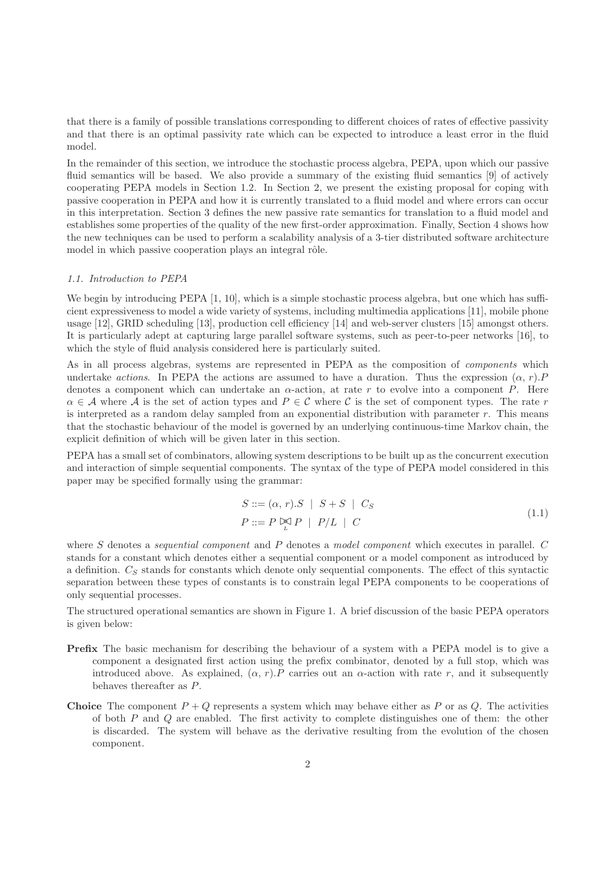that there is a family of possible translations corresponding to different choices of rates of effective passivity and that there is an optimal passivity rate which can be expected to introduce a least error in the fluid model.

In the remainder of this section, we introduce the stochastic process algebra, PEPA, upon which our passive fluid semantics will be based. We also provide a summary of the existing fluid semantics [9] of actively cooperating PEPA models in Section 1.2. In Section 2, we present the existing proposal for coping with passive cooperation in PEPA and how it is currently translated to a fluid model and where errors can occur in this interpretation. Section 3 defines the new passive rate semantics for translation to a fluid model and establishes some properties of the quality of the new first-order approximation. Finally, Section 4 shows how the new techniques can be used to perform a scalability analysis of a 3-tier distributed software architecture model in which passive cooperation plays an integral rôle.

## *1.1. Introduction to PEPA*

We begin by introducing PEPA [1, 10], which is a simple stochastic process algebra, but one which has sufficient expressiveness to model a wide variety of systems, including multimedia applications [11], mobile phone usage [12], GRID scheduling [13], production cell efficiency [14] and web-server clusters [15] amongst others. It is particularly adept at capturing large parallel software systems, such as peer-to-peer networks [16], to which the style of fluid analysis considered here is particularly suited.

As in all process algebras, systems are represented in PEPA as the composition of *components* which undertake *actions*. In PEPA the actions are assumed to have a duration. Thus the expression  $(\alpha, r)$ . denotes a component which can undertake an  $\alpha$ -action, at rate r to evolve into a component P. Here  $\alpha \in \mathcal{A}$  where  $\mathcal{A}$  is the set of action types and  $P \in \mathcal{C}$  where  $\mathcal{C}$  is the set of component types. The rate r is interpreted as a random delay sampled from an exponential distribution with parameter r. This means that the stochastic behaviour of the model is governed by an underlying continuous-time Markov chain, the explicit definition of which will be given later in this section.

PEPA has a small set of combinators, allowing system descriptions to be built up as the concurrent execution and interaction of simple sequential components. The syntax of the type of PEPA model considered in this paper may be specified formally using the grammar:

$$
S ::= (\alpha, r).S \mid S + S \mid C_S
$$
  
\n
$$
P ::= P \trianglerighteq P \mid P/L \mid C
$$
\n(1.1)

where S denotes a *sequential component* and P denotes a *model component* which executes in parallel. C stands for a constant which denotes either a sequential component or a model component as introduced by a definition.  $C_S$  stands for constants which denote only sequential components. The effect of this syntactic separation between these types of constants is to constrain legal PEPA components to be cooperations of only sequential processes.

The structured operational semantics are shown in Figure 1. A brief discussion of the basic PEPA operators is given below:

- Prefix The basic mechanism for describing the behaviour of a system with a PEPA model is to give a component a designated first action using the prefix combinator, denoted by a full stop, which was introduced above. As explained,  $(\alpha, r)$ . P carries out an  $\alpha$ -action with rate r, and it subsequently behaves thereafter as P.
- **Choice** The component  $P + Q$  represents a system which may behave either as P or as Q. The activities of both  $P$  and  $Q$  are enabled. The first activity to complete distinguishes one of them: the other is discarded. The system will behave as the derivative resulting from the evolution of the chosen component.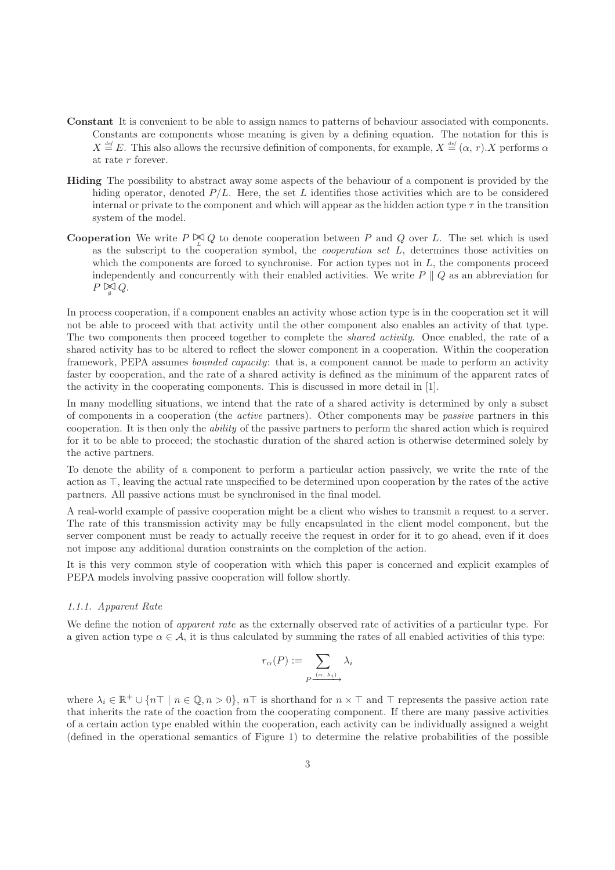- Constant It is convenient to be able to assign names to patterns of behaviour associated with components. Constants are components whose meaning is given by a defining equation. The notation for this is  $X \stackrel{\text{\tiny def}}{=} E$ . This also allows the recursive definition of components, for example,  $X \stackrel{\text{\tiny def}}{=} (\alpha, r)$ . X performs  $\alpha$ at rate r forever.
- Hiding The possibility to abstract away some aspects of the behaviour of a component is provided by the hiding operator, denoted  $P/L$ . Here, the set L identifies those activities which are to be considered internal or private to the component and which will appear as the hidden action type  $\tau$  in the transition system of the model.
- **Cooperation** We write  $P \not\approx Q$  to denote cooperation between P and Q over L. The set which is used as the subscript to the cooperation symbol, the *cooperation set* L, determines those activities on which the components are forced to synchronise. For action types not in  $L$ , the components proceed independently and concurrently with their enabled activities. We write  $P \parallel Q$  as an abbreviation for  $P \not\approx Q.$

In process cooperation, if a component enables an activity whose action type is in the cooperation set it will not be able to proceed with that activity until the other component also enables an activity of that type. The two components then proceed together to complete the *shared activity*. Once enabled, the rate of a shared activity has to be altered to reflect the slower component in a cooperation. Within the cooperation framework, PEPA assumes *bounded capacity*: that is, a component cannot be made to perform an activity faster by cooperation, and the rate of a shared activity is defined as the minimum of the apparent rates of the activity in the cooperating components. This is discussed in more detail in [1].

In many modelling situations, we intend that the rate of a shared activity is determined by only a subset of components in a cooperation (the *active* partners). Other components may be *passive* partners in this cooperation. It is then only the *ability* of the passive partners to perform the shared action which is required for it to be able to proceed; the stochastic duration of the shared action is otherwise determined solely by the active partners.

To denote the ability of a component to perform a particular action passively, we write the rate of the action as ⊤, leaving the actual rate unspecified to be determined upon cooperation by the rates of the active partners. All passive actions must be synchronised in the final model.

A real-world example of passive cooperation might be a client who wishes to transmit a request to a server. The rate of this transmission activity may be fully encapsulated in the client model component, but the server component must be ready to actually receive the request in order for it to go ahead, even if it does not impose any additional duration constraints on the completion of the action.

It is this very common style of cooperation with which this paper is concerned and explicit examples of PEPA models involving passive cooperation will follow shortly.

#### *1.1.1. Apparent Rate*

We define the notion of *apparent rate* as the externally observed rate of activities of a particular type. For a given action type  $\alpha \in \mathcal{A}$ , it is thus calculated by summing the rates of all enabled activities of this type:

$$
r_{\alpha}(P) := \sum_{P \xrightarrow{(\alpha, \lambda_i)} \lambda_i}
$$

where  $\lambda_i \in \mathbb{R}^+ \cup \{n\top \mid n \in \mathbb{Q}, n > 0\}, n\top$  is shorthand for  $n \times \top$  and  $\top$  represents the passive action rate that inherits the rate of the coaction from the cooperating component. If there are many passive activities of a certain action type enabled within the cooperation, each activity can be individually assigned a weight (defined in the operational semantics of Figure 1) to determine the relative probabilities of the possible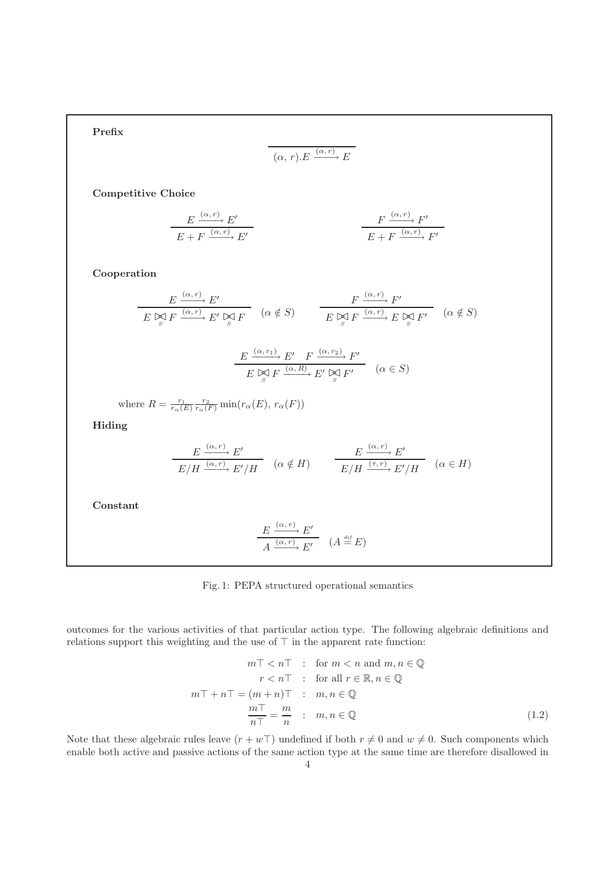Prefix

 $(\alpha, r) \to \frac{(\alpha, r)}{r} \to E$ 

Competitive Choice

$$
\frac{E \xrightarrow{(\alpha,r)} E'}{E + F \xrightarrow{(\alpha,r)} E'}
$$
\n
$$
\frac{F \xrightarrow{(\alpha,r)} F'}{E + F \xrightarrow{(\alpha,r)} F'}
$$

Cooperation

$$
\frac{E \xrightarrow{(\alpha,r)} E'}{E \underset{S}{\bowtie} F \xrightarrow{(\alpha,r)} E' \underset{S}{\bowtie} F} \quad (\alpha \notin S) \qquad \frac{F \xrightarrow{(\alpha,r)} F'}{E \underset{S}{\bowtie} F \xrightarrow{(\alpha,r)} E \underset{S}{\bowtie} F'} \quad (\alpha \notin S)
$$

$$
\frac{E \xrightarrow{(\alpha, r_1)} E' \quad F \xrightarrow{(\alpha, r_2)} F'}{E \bowtie F \xrightarrow{(\alpha, R)} E' \bowtie F'} \quad (\alpha \in S)
$$

where  $R = \frac{r_1}{r_\alpha(E)} \frac{r_2}{r_\alpha(F)} \min(r_\alpha(E), r_\alpha(F))$ 

Hiding

$$
\frac{E \xrightarrow{(\alpha,r)} E'}{E/H \xrightarrow{(\alpha,r)} E'/H} \quad (\alpha \notin H) \qquad \frac{E \xrightarrow{(\alpha,r)} E'}{E/H \xrightarrow{(\tau,r)} E'/H} \quad (\alpha \in H)
$$

Constant

$$
\frac{E \xrightarrow{(\alpha, r)} E'}{A \xrightarrow{(\alpha, r)} E'} \quad (A \stackrel{\text{def}}{=} E)
$$

Fig. 1: PEPA structured operational semantics

outcomes for the various activities of that particular action type. The following algebraic definitions and relations support this weighting and the use of ⊤ in the apparent rate function:

$$
m\top < n\top \qquad : \text{for } m < n \text{ and } m, n \in \mathbb{Q}
$$

$$
r < n\top \qquad : \text{for all } r \in \mathbb{R}, n \in \mathbb{Q}
$$

$$
m\top + n\top = (m+n)\top \qquad : \quad m, n \in \mathbb{Q}
$$

$$
\frac{m\top}{n\top} = \frac{m}{n} \qquad : \quad m, n \in \mathbb{Q}
$$

$$
(1.2)
$$

Note that these algebraic rules leave  $(r + w<sup>T</sup>)$  undefined if both  $r \neq 0$  and  $w \neq 0$ . Such components which enable both active and passive actions of the same action type at the same time are therefore disallowed in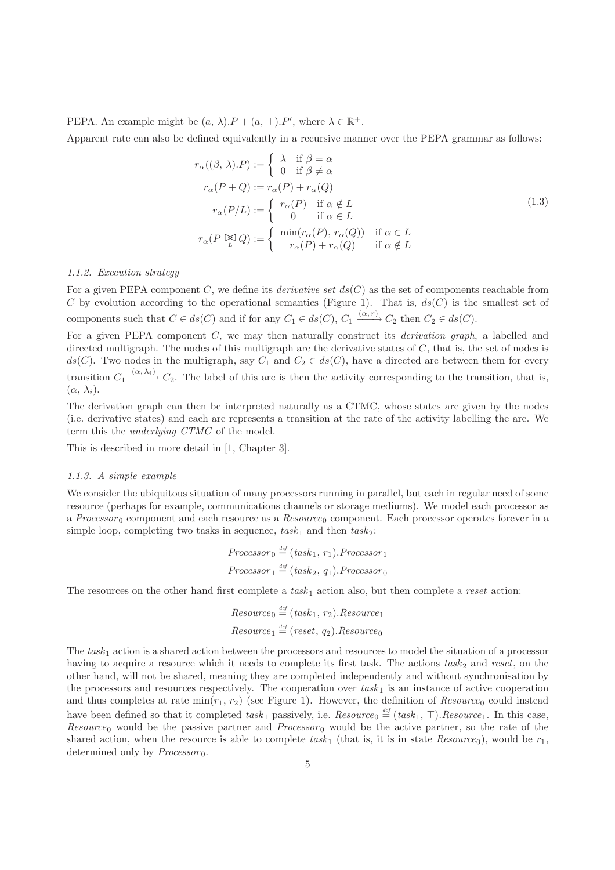PEPA. An example might be  $(a, \lambda) \cdot P + (a, \top) \cdot P'$ , where  $\lambda \in \mathbb{R}^+$ .

Apparent rate can also be defined equivalently in a recursive manner over the PEPA grammar as follows:

$$
r_{\alpha}((\beta, \lambda).P) := \begin{cases} \lambda & \text{if } \beta = \alpha \\ 0 & \text{if } \beta \neq \alpha \end{cases}
$$
  

$$
r_{\alpha}(P+Q) := r_{\alpha}(P) + r_{\alpha}(Q)
$$
  

$$
r_{\alpha}(P/L) := \begin{cases} r_{\alpha}(P) & \text{if } \alpha \notin L \\ 0 & \text{if } \alpha \in L \end{cases}
$$
  

$$
r_{\alpha}(P \trianglerighteq Q) := \begin{cases} \min(r_{\alpha}(P), r_{\alpha}(Q)) & \text{if } \alpha \in L \\ r_{\alpha}(P) + r_{\alpha}(Q) & \text{if } \alpha \notin L \end{cases}
$$
  
(1.3)

#### *1.1.2. Execution strategy*

For a given PEPA component C, we define its *derivative set* ds(C) as the set of components reachable from C by evolution according to the operational semantics (Figure 1). That is,  $ds(C)$  is the smallest set of components such that  $C \in ds(C)$  and if for any  $C_1 \in ds(C)$ ,  $C_1 \xrightarrow{(\alpha, r)} C_2$  then  $C_2 \in ds(C)$ .

For a given PEPA component C, we may then naturally construct its *derivation graph*, a labelled and directed multigraph. The nodes of this multigraph are the derivative states of  $C$ , that is, the set of nodes is  $ds(C)$ . Two nodes in the multigraph, say  $C_1$  and  $C_2 \in ds(C)$ , have a directed arc between them for every transition  $C_1 \xrightarrow{(\alpha, \lambda_i)} C_2$ . The label of this arc is then the activity corresponding to the transition, that is,  $(\alpha, \lambda_i)$ .

The derivation graph can then be interpreted naturally as a CTMC, whose states are given by the nodes (i.e. derivative states) and each arc represents a transition at the rate of the activity labelling the arc. We term this the *underlying CTMC* of the model.

This is described in more detail in [1, Chapter 3].

#### *1.1.3. A simple example*

We consider the ubiquitous situation of many processors running in parallel, but each in regular need of some resource (perhaps for example, communications channels or storage mediums). We model each processor as a *Processor*<sub>0</sub> component and each resource as a *Resource*<sub>0</sub> component. Each processor operates forever in a simple loop, completing two tasks in sequence,  $task_1$  and then  $task_2$ .

$$
Processor_0 \stackrel{\text{def}}{=} (task_1, r_1).Processor_1
$$

$$
Processor_1 \stackrel{\text{def}}{=} (task_2, q_1).Processor_0
$$

The resources on the other hand first complete a  $task_1$  action also, but then complete a *reset* action:

$$
Resource_0 \stackrel{\text{def}}{=} (task_1, r_2).Resource_1
$$
  

$$
Resource_1 \stackrel{\text{def}}{=} (reset, q_2).Resource_0
$$

The  $task_1$  action is a shared action between the processors and resources to model the situation of a processor having to acquire a resource which it needs to complete its first task. The actions  $task_2$  and  $reset$ , on the other hand, will not be shared, meaning they are completed independently and without synchronisation by the processors and resources respectively. The cooperation over  $task_1$  is an instance of active cooperation and thus completes at rate  $min(r_1, r_2)$  (see Figure 1). However, the definition of *Resource*<sub>0</sub> could instead have been defined so that it completed  $task_1$  passively, i.e.  $Resource_0 \stackrel{\text{\it def}}{=} (task_1, \top) \cdot Resource_1$ . In this case, *Resource*<sub>0</sub> would be the passive partner and  $Processor_0$  would be the active partner, so the rate of the shared action, when the resource is able to complete  $task_1$  (that is, it is in state  $Resource_0$ ), would be  $r_1$ , determined only by *Processor*<sub>0</sub>.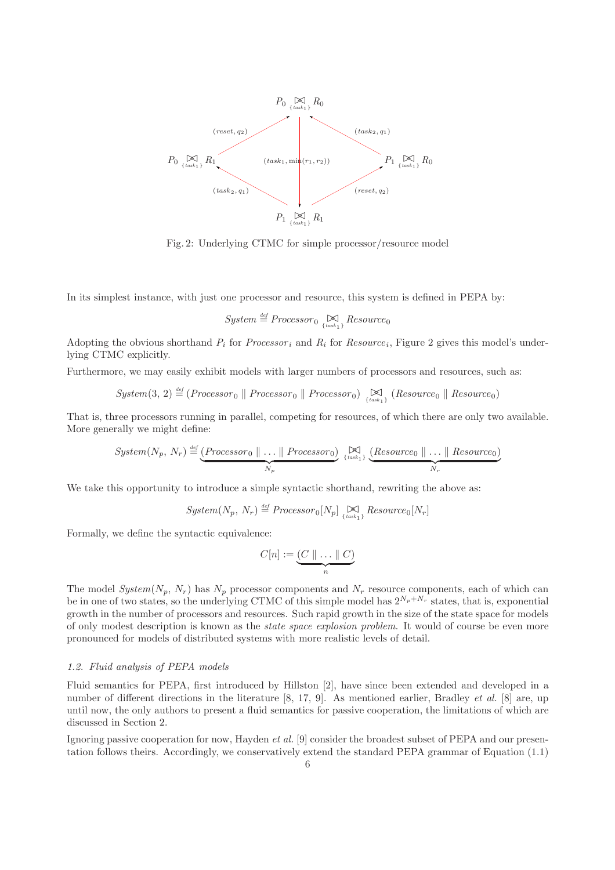

Fig. 2: Underlying CTMC for simple processor/resource model

In its simplest instance, with just one processor and resource, this system is defined in PEPA by:

 $System \stackrel{\text{\it def}}{=} \mathit{Processor}_0 \underset{\{\textit{task}_1\}}{\bowtie} \mathit{Resource}_0$ 

Adopting the obvious shorthand  $P_i$  for  $Processor_i$  and  $R_i$  for  $Resource_i$ , Figure 2 gives this model's underlying CTMC explicitly.

Furthermore, we may easily exhibit models with larger numbers of processors and resources, such as:

$$
System(3, 2) \stackrel{\text{def}}{=} (Processor_0 \parallel Processor_0 \parallel Processor_0) \underset{\{task_1\}}{\bowtie} (Resource_0 \parallel Resource_0)
$$

That is, three processors running in parallel, competing for resources, of which there are only two available. More generally we might define:

$$
System(N_p, N_r) \stackrel{\text{def}}{=} \underbrace{(Processor_0 \parallel \ldots \parallel Processor_0)}_{N_p} \underbrace{\bowtie}_{\{task_1\}} \underbrace{(Resource_0 \parallel \ldots \parallel Resource_0)}_{N_r}
$$

We take this opportunity to introduce a simple syntactic shorthand, rewriting the above as:

$$
System(N_p, N_r) \stackrel{\text{def}}{=} \text{Processor}_0[N_p] \underset{\{\text{task}_1\}}{\bowtie} Resource_0[N_r]
$$

Formally, we define the syntactic equivalence:

$$
C[n] := \underbrace{(C \parallel \dots \parallel C)}_{n}
$$

The model  $System(N_p, N_r)$  has  $N_p$  processor components and  $N_r$  resource components, each of which can be in one of two states, so the underlying CTMC of this simple model has  $2^{N_p+N_r}$  states, that is, exponential growth in the number of processors and resources. Such rapid growth in the size of the state space for models of only modest description is known as the *state space explosion problem*. It would of course be even more pronounced for models of distributed systems with more realistic levels of detail.

#### *1.2. Fluid analysis of PEPA models*

Fluid semantics for PEPA, first introduced by Hillston [2], have since been extended and developed in a number of different directions in the literature [8, 17, 9]. As mentioned earlier, Bradley *et al.* [8] are, up until now, the only authors to present a fluid semantics for passive cooperation, the limitations of which are discussed in Section 2.

Ignoring passive cooperation for now, Hayden *et al.* [9] consider the broadest subset of PEPA and our presentation follows theirs. Accordingly, we conservatively extend the standard PEPA grammar of Equation (1.1)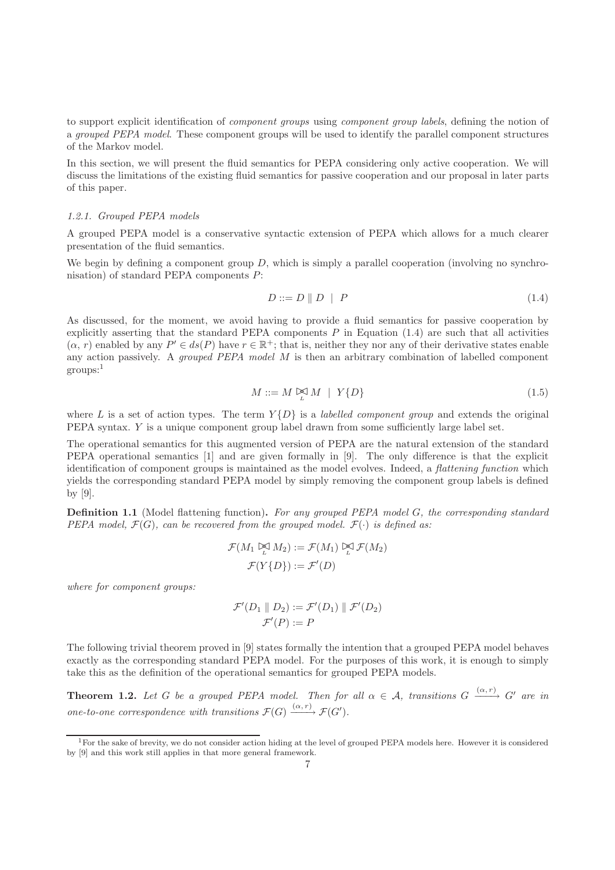to support explicit identification of *component groups* using *component group labels*, defining the notion of a *grouped PEPA model*. These component groups will be used to identify the parallel component structures of the Markov model.

In this section, we will present the fluid semantics for PEPA considering only active cooperation. We will discuss the limitations of the existing fluid semantics for passive cooperation and our proposal in later parts of this paper.

#### *1.2.1. Grouped PEPA models*

A grouped PEPA model is a conservative syntactic extension of PEPA which allows for a much clearer presentation of the fluid semantics.

We begin by defining a component group  $D$ , which is simply a parallel cooperation (involving no synchronisation) of standard PEPA components P:

$$
D ::= D \parallel D \parallel P \tag{1.4}
$$

As discussed, for the moment, we avoid having to provide a fluid semantics for passive cooperation by explicitly asserting that the standard PEPA components  $P$  in Equation (1.4) are such that all activities  $(\alpha, r)$  enabled by any  $P' \in ds(P)$  have  $r \in \mathbb{R}^+$ ; that is, neither they nor any of their derivative states enable any action passively. A *grouped PEPA model* M is then an arbitrary combination of labelled component  $groups:$ <sup>1</sup>

$$
M ::= M \underset{L}{\bowtie} M \mid Y\{D\} \tag{1.5}
$$

where L is a set of action types. The term  $Y\{D\}$  is a *labelled component group* and extends the original PEPA syntax. Y is a unique component group label drawn from some sufficiently large label set.

The operational semantics for this augmented version of PEPA are the natural extension of the standard PEPA operational semantics [1] and are given formally in [9]. The only difference is that the explicit identification of component groups is maintained as the model evolves. Indeed, a *flattening function* which yields the corresponding standard PEPA model by simply removing the component group labels is defined by [9].

Definition 1.1 (Model flattening function). *For any grouped PEPA model* G*, the corresponding standard PEPA model,*  $\mathcal{F}(G)$ *, can be recovered from the grouped model.*  $\mathcal{F}(\cdot)$  *is defined as:* 

$$
\mathcal{F}(M_1 \not\trianglerighteq M_2) := \mathcal{F}(M_1) \not\trianglerighteq \mathcal{F}(M_2)
$$

$$
\mathcal{F}(Y\{D\}) := \mathcal{F}'(D)
$$

*where for component groups:*

$$
\mathcal{F}'(D_1 \parallel D_2) := \mathcal{F}'(D_1) \parallel \mathcal{F}'(D_2)
$$

$$
\mathcal{F}'(P) := P
$$

The following trivial theorem proved in [9] states formally the intention that a grouped PEPA model behaves exactly as the corresponding standard PEPA model. For the purposes of this work, it is enough to simply take this as the definition of the operational semantics for grouped PEPA models.

**Theorem 1.2.** Let G be a grouped PEPA model. Then for all  $\alpha \in A$ , transitions  $G \xrightarrow{(\alpha, r)} G'$  are in *one-to-one correspondence with transitions*  $\mathcal{F}(G) \xrightarrow{(\alpha, r)} \mathcal{F}(G')$ .

<sup>1</sup>For the sake of brevity, we do not consider action hiding at the level of grouped PEPA models here. However it is considered by [9] and this work still applies in that more general framework.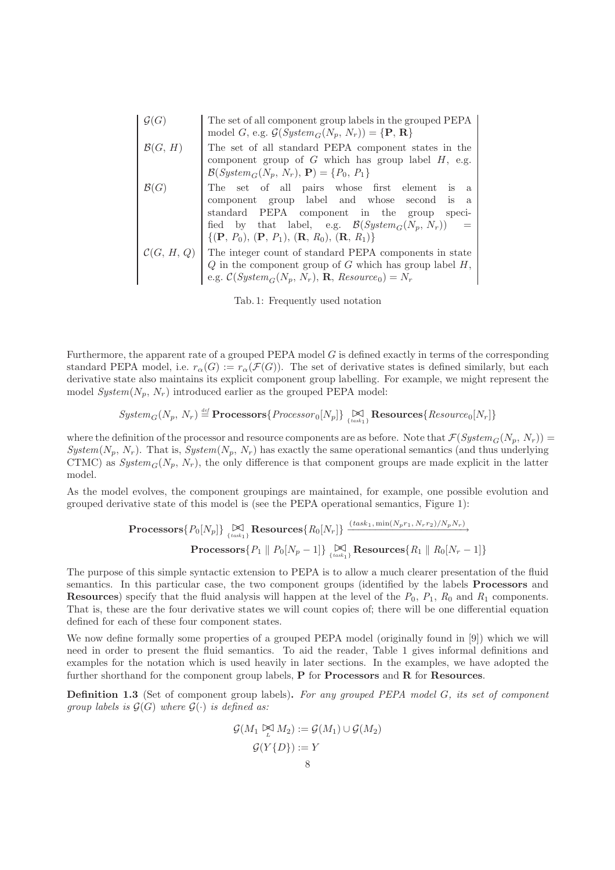| G(G)                | The set of all component group labels in the grouped PEPA<br>model G, e.g. $\mathcal{G}(System_G(N_p, N_r)) = {\bf{P}, R}$                                                                                                                                                                                                                                             |
|---------------------|------------------------------------------------------------------------------------------------------------------------------------------------------------------------------------------------------------------------------------------------------------------------------------------------------------------------------------------------------------------------|
| $\mathcal{B}(G, H)$ | The set of all standard PEPA component states in the<br>component group of $G$ which has group label $H$ , e.g.<br>$\mathcal{B}(System_G(N_p, N_r), \mathbf{P}) = \{P_0, P_1\}$                                                                                                                                                                                        |
| $\mathcal{B}(G)$    | The set of all pairs whose first element<br>is<br>- a<br>component group label and whose second is<br>- a<br>standard PEPA component in the group<br>speci-                                                                                                                                                                                                            |
|                     | fied by that label, e.g. $\mathcal{B}(System_G(N_p, N_r))$ =<br>$\{(\mathbf{P}, P_0), (\mathbf{P}, P_1), (\mathbf{R}, R_0), (\mathbf{R}, R_1)\}\$<br>$\mathcal{C}(G, H, Q)$ The integer count of standard PEPA components in state<br>$Q$ in the component group of G which has group label H,<br>e.g. $\mathcal{C}(System_G(N_p, N_r), \mathbf{R}, Resource_0) = N_r$ |

Tab. 1: Frequently used notation

Furthermore, the apparent rate of a grouped PEPA model  $G$  is defined exactly in terms of the corresponding standard PEPA model, i.e.  $r_{\alpha}(G) := r_{\alpha}(\mathcal{F}(G))$ . The set of derivative states is defined similarly, but each derivative state also maintains its explicit component group labelling. For example, we might represent the model  $System(N_p, N_r)$  introduced earlier as the grouped PEPA model:

 $System_G(N_p, N_r) \stackrel{\text{\it def}}{=} \textbf{Processors}\{Processor_0[N_p]\}\underset{\{\textit{tass}_1\}}{\bowtie} \textbf{Resource}\{Resource_0[N_r]\}$ 

where the definition of the processor and resource components are as before. Note that  $\mathcal{F}(System_G(N_p, N_r)) =$  $System(N_p, N_r)$ . That is,  $System(N_p, N_r)$  has exactly the same operational semantics (and thus underlying CTMC) as  $System_G(N_p, N_r)$ , the only difference is that component groups are made explicit in the latter model.

As the model evolves, the component groupings are maintained, for example, one possible evolution and grouped derivative state of this model is (see the PEPA operational semantics, Figure 1):

$$
\mathbf{Processors}\{P_0[N_p]\}\n\underset{\{task_1\}}{\bowtie}\n\underset{\{task_1\}}{\text{Resource}}\n\text{Resource}\{R_0[N_r]\}\n\underset{\{task_1\}}{\overset{(task_1,\min(N_pr_1,N_rr_2)/N_pN_r)}{\wedge} }\n\text{Processors}\{P_1 \parallel P_0[N_p-1]\}\n\underset{\{task_1\}}{\bowtie}\n\underset{\{task_k\}}{\text{Resource}}\{R_1 \parallel R_0[N_r-1]\}
$$

The purpose of this simple syntactic extension to PEPA is to allow a much clearer presentation of the fluid semantics. In this particular case, the two component groups (identified by the labels Processors and Resources) specify that the fluid analysis will happen at the level of the *P*0, *P*1, *R*<sup>0</sup> and *R*<sup>1</sup> components. That is, these are the four derivative states we will count copies of; there will be one differential equation defined for each of these four component states.

We now define formally some properties of a grouped PEPA model (originally found in [9]) which we will need in order to present the fluid semantics. To aid the reader, Table 1 gives informal definitions and examples for the notation which is used heavily in later sections. In the examples, we have adopted the further shorthand for the component group labels,  $P$  for Processors and  $R$  for Resources.

Definition 1.3 (Set of component group labels). *For any grouped PEPA model* G*, its set of component group labels is*  $\mathcal{G}(G)$  *where*  $\mathcal{G}(\cdot)$  *is defined as:* 

$$
\mathcal{G}(M_1 \underset{L}{\bowtie} M_2) := \mathcal{G}(M_1) \cup \mathcal{G}(M_2)
$$

$$
\mathcal{G}(Y\{D\}) := Y
$$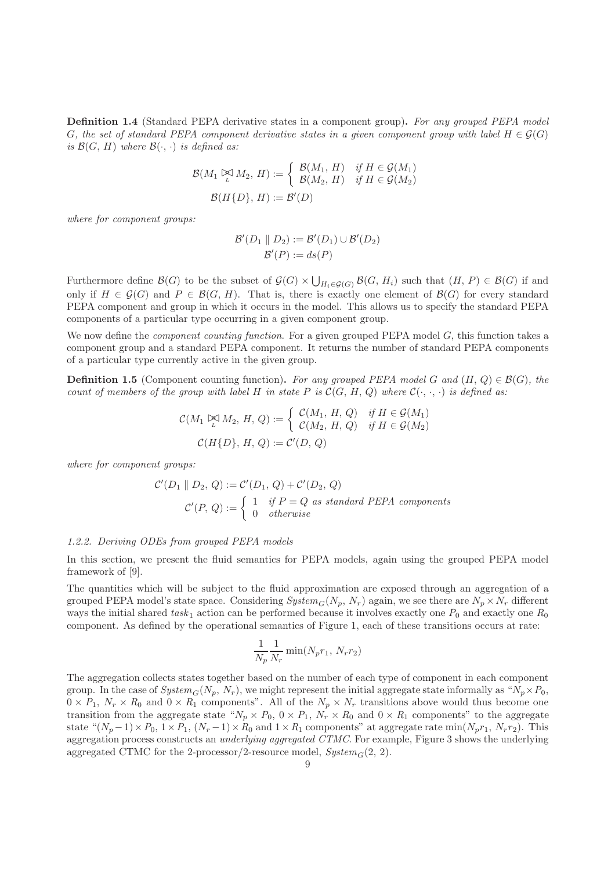Definition 1.4 (Standard PEPA derivative states in a component group). *For any grouped PEPA model* G, the set of standard PEPA component derivative states in a given component group with label  $H \in \mathcal{G}(G)$ *is*  $\mathcal{B}(G, H)$  *where*  $\mathcal{B}(\cdot, \cdot)$  *is defined as:* 

$$
\mathcal{B}(M_1 \not\trianglerighteq M_2, H) := \begin{cases} \mathcal{B}(M_1, H) & \text{if } H \in \mathcal{G}(M_1) \\ \mathcal{B}(M_2, H) & \text{if } H \in \mathcal{G}(M_2) \end{cases}
$$

$$
\mathcal{B}(H\{D\}, H) := \mathcal{B}'(D)
$$

*where for component groups:*

$$
\mathcal{B}'(D_1 \parallel D_2) := \mathcal{B}'(D_1) \cup \mathcal{B}'(D_2)
$$

$$
\mathcal{B}'(P) := ds(P)
$$

Furthermore define  $\mathcal{B}(G)$  to be the subset of  $\mathcal{G}(G) \times \bigcup_{H_i \in \mathcal{G}(G)} \mathcal{B}(G, H_i)$  such that  $(H, P) \in \mathcal{B}(G)$  if and only if  $H \in \mathcal{G}(G)$  and  $P \in \mathcal{B}(G, H)$ . That is, there is exactly one element of  $\mathcal{B}(G)$  for every standard PEPA component and group in which it occurs in the model. This allows us to specify the standard PEPA components of a particular type occurring in a given component group.

We now define the *component counting function*. For a given grouped PEPA model G, this function takes a component group and a standard PEPA component. It returns the number of standard PEPA components of a particular type currently active in the given group.

**Definition 1.5** (Component counting function). For any grouped PEPA model G and  $(H, O) \in \mathcal{B}(G)$ , the *count of members of the group with label* H *in state* P *is*  $\mathcal{C}(G, H, Q)$  *where*  $\mathcal{C}(\cdot, \cdot, \cdot)$  *is defined as:* 

$$
\mathcal{C}(M_1 \underset{L}{\bowtie} M_2, H, Q) := \begin{cases} \mathcal{C}(M_1, H, Q) & \text{if } H \in \mathcal{G}(M_1) \\ \mathcal{C}(M_2, H, Q) & \text{if } H \in \mathcal{G}(M_2) \end{cases}
$$

$$
\mathcal{C}(H\{D\}, H, Q) := \mathcal{C}'(D, Q)
$$

*where for component groups:*

$$
\mathcal{C}'(D_1 \parallel D_2, Q) := \mathcal{C}'(D_1, Q) + \mathcal{C}'(D_2, Q)
$$

$$
\mathcal{C}'(P, Q) := \begin{cases} 1 & \text{if } P = Q \text{ as standard } PEPA \text{ components} \\ 0 & \text{otherwise} \end{cases}
$$

#### *1.2.2. Deriving ODEs from grouped PEPA models*

In this section, we present the fluid semantics for PEPA models, again using the grouped PEPA model framework of [9].

The quantities which will be subject to the fluid approximation are exposed through an aggregation of a grouped PEPA model's state space. Considering  $System_G(N_p, N_r)$  again, we see there are  $N_p \times N_r$  different ways the initial shared  $task_1$  action can be performed because it involves exactly one  $P_0$  and exactly one  $R_0$ component. As defined by the operational semantics of Figure 1, each of these transitions occurs at rate:

$$
\frac{1}{N_p} \frac{1}{N_r} \min(N_p r_1, N_r r_2)
$$

The aggregation collects states together based on the number of each type of component in each component group. In the case of  $System_G(N_p, N_r)$ , we might represent the initial aggregate state informally as " $N_p \times P_0$ ,  $0 \times P_1$ ,  $N_r \times R_0$  and  $0 \times R_1$  components". All of the  $N_p \times N_r$  transitions above would thus become one transition from the aggregate state " $N_p \times P_0$ ,  $0 \times P_1$ ,  $N_r \times R_0$  and  $0 \times R_1$  components" to the aggregate state " $(N_p-1)\times P_0$ ,  $1\times P_1$ ,  $(N_r-1)\times R_0$  and  $1\times R_1$  components" at aggregate rate min $(N_pr_1, N_rr_2)$ . This aggregation process constructs an *underlying aggregated CTMC*. For example, Figure 3 shows the underlying aggregated CTMC for the 2-processor/2-resource model,  $System_G(2, 2)$ .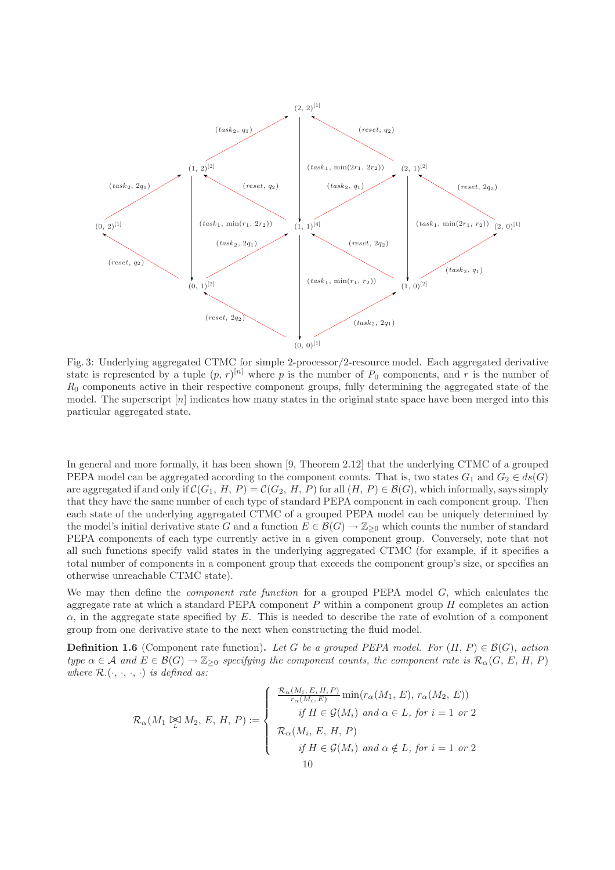

Fig. 3: Underlying aggregated CTMC for simple 2-processor/2-resource model. Each aggregated derivative state is represented by a tuple  $(p, r)^{[n]}$  where p is the number of  $P_0$  components, and r is the number of *R*<sup>0</sup> components active in their respective component groups, fully determining the aggregated state of the model. The superscript  $[n]$  indicates how many states in the original state space have been merged into this particular aggregated state.

In general and more formally, it has been shown [9, Theorem 2.12] that the underlying CTMC of a grouped PEPA model can be aggregated according to the component counts. That is, two states  $G_1$  and  $G_2 \in ds(G)$ are aggregated if and only if  $\mathcal{C}(G_1, H, P) = \mathcal{C}(G_2, H, P)$  for all  $(H, P) \in \mathcal{B}(G)$ , which informally, says simply that they have the same number of each type of standard PEPA component in each component group. Then each state of the underlying aggregated CTMC of a grouped PEPA model can be uniquely determined by the model's initial derivative state G and a function  $E \in \mathcal{B}(G) \to \mathbb{Z}_{\geq 0}$  which counts the number of standard PEPA components of each type currently active in a given component group. Conversely, note that not all such functions specify valid states in the underlying aggregated CTMC (for example, if it specifies a total number of components in a component group that exceeds the component group's size, or specifies an otherwise unreachable CTMC state).

We may then define the *component rate function* for a grouped PEPA model G, which calculates the aggregate rate at which a standard PEPA component  $P$  within a component group  $H$  completes an action  $\alpha$ , in the aggregate state specified by E. This is needed to describe the rate of evolution of a component group from one derivative state to the next when constructing the fluid model.

**Definition 1.6** (Component rate function). Let G be a grouped PEPA model. For  $(H, P) \in \mathcal{B}(G)$ , action *type*  $\alpha \in A$  *and*  $E \in B(G) \to \mathbb{Z}_{\geq 0}$  *specifying the component counts, the component rate is*  $\mathcal{R}_{\alpha}(G, E, H, P)$ *where*  $\mathcal{R}.(\cdot, \cdot, \cdot, \cdot)$  *is defined as:* 

$$
\mathcal{R}_{\alpha}(M_1 \bowtie M_2, E, H, P) := \begin{cases} \frac{\mathcal{R}_{\alpha}(M_i, E, H, P)}{r_{\alpha}(M_i, E)} \min(r_{\alpha}(M_1, E), r_{\alpha}(M_2, E)) \\ \quad \text{if } H \in \mathcal{G}(M_i) \text{ and } \alpha \in L, \text{ for } i = 1 \text{ or } 2 \\ \mathcal{R}_{\alpha}(M_i, E, H, P) \\ \quad \text{if } H \in \mathcal{G}(M_i) \text{ and } \alpha \notin L, \text{ for } i = 1 \text{ or } 2 \end{cases}
$$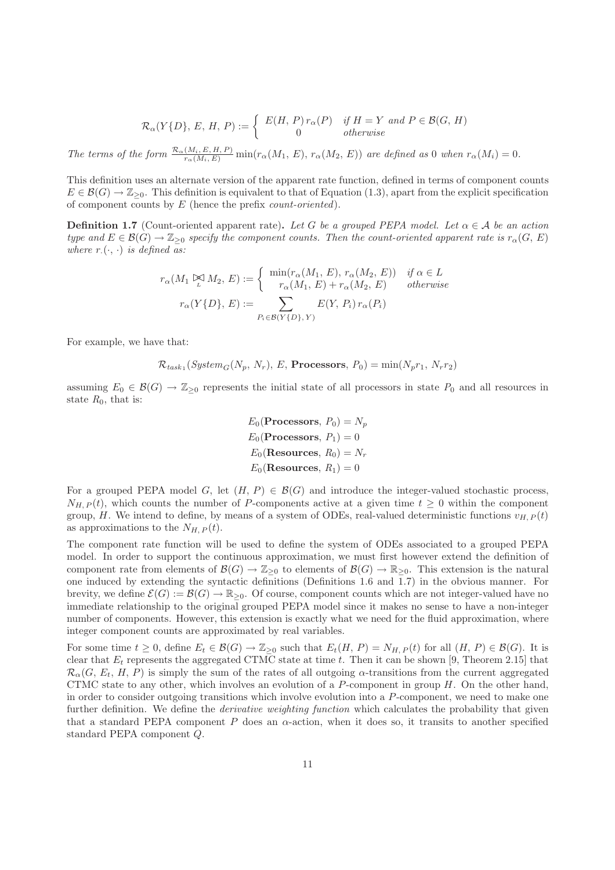$$
\mathcal{R}_{\alpha}(Y\{D\}, E, H, P) := \begin{cases} E(H, P) r_{\alpha}(P) & \text{if } H = Y \text{ and } P \in \mathcal{B}(G, H) \\ 0 & \text{otherwise} \end{cases}
$$

*The terms of the form*  $\frac{\mathcal{R}_{\alpha}(M_i, E, H, P)}{r_{\alpha}(M_i, E)}$  min $(r_{\alpha}(M_1, E), r_{\alpha}(M_2, E))$  *are defined as* 0 *when*  $r_{\alpha}(M_i) = 0$ *.* 

This definition uses an alternate version of the apparent rate function, defined in terms of component counts  $E \in \mathcal{B}(G) \to \mathbb{Z}_{\geq 0}$ . This definition is equivalent to that of Equation (1.3), apart from the explicit specification of component counts by E (hence the prefix *count-oriented*).

**Definition 1.7** (Count-oriented apparent rate). Let G be a grouped PEPA model. Let  $\alpha \in \mathcal{A}$  be an action *type and*  $E \in \mathcal{B}(G) \to \mathbb{Z}_{\geq 0}$  *specify the component counts. Then the count-oriented apparent rate is*  $r_{\alpha}(G, E)$ *where*  $r \cdot (\cdot, \cdot)$  *is defined as:* 

$$
r_{\alpha}(M_1 \trianglerighteq M_2, E) := \begin{cases} \min(r_{\alpha}(M_1, E), r_{\alpha}(M_2, E)) & \text{if } \alpha \in L \\ r_{\alpha}(M_1, E) + r_{\alpha}(M_2, E) & \text{otherwise} \end{cases}
$$

$$
r_{\alpha}(Y\{D\}, E) := \sum_{P_i \in \mathcal{B}(Y\{D\}, Y)} E(Y, P_i) r_{\alpha}(P_i)
$$

For example, we have that:

$$
\mathcal{R}_{task_1}(System_G(N_p, N_r), E, Processors, P_0) = min(N_pr_1, N_rr_2)
$$

assuming  $E_0 \in \mathcal{B}(G) \to \mathbb{Z}_{\geq 0}$  represents the initial state of all processors in state  $P_0$  and all resources in state *R*0, that is:

$$
E_0(\text{Processors}, P_0) = N_p
$$
  
\n
$$
E_0(\text{Processors}, P_1) = 0
$$
  
\n
$$
E_0(\text{Resource}, R_0) = N_r
$$
  
\n
$$
E_0(\text{Resource}, R_1) = 0
$$

For a grouped PEPA model G, let  $(H, P) \in \mathcal{B}(G)$  and introduce the integer-valued stochastic process,  $N_{H, P}(t)$ , which counts the number of P-components active at a given time  $t \geq 0$  within the component group, H. We intend to define, by means of a system of ODEs, real-valued deterministic functions  $v_{H, P}(t)$ as approximations to the  $N_{H, P}(t)$ .

The component rate function will be used to define the system of ODEs associated to a grouped PEPA model. In order to support the continuous approximation, we must first however extend the definition of component rate from elements of  $\mathcal{B}(G) \to \mathbb{Z}_{\geq 0}$  to elements of  $\mathcal{B}(G) \to \mathbb{R}_{\geq 0}$ . This extension is the natural one induced by extending the syntactic definitions (Definitions 1.6 and 1.7) in the obvious manner. For brevity, we define  $\mathcal{E}(G) := \mathcal{B}(G) \to \mathbb{R}_{\geq 0}$ . Of course, component counts which are not integer-valued have no immediate relationship to the original grouped PEPA model since it makes no sense to have a non-integer number of components. However, this extension is exactly what we need for the fluid approximation, where integer component counts are approximated by real variables.

For some time  $t \geq 0$ , define  $E_t \in \mathcal{B}(G) \to \mathbb{Z}_{\geq 0}$  such that  $E_t(H, P) = N_{H, P}(t)$  for all  $(H, P) \in \mathcal{B}(G)$ . It is clear that  $E_t$  represents the aggregated CTMC state at time t. Then it can be shown [9, Theorem 2.15] that  $\mathcal{R}_{\alpha}(G, E_t, H, P)$  is simply the sum of the rates of all outgoing  $\alpha$ -transitions from the current aggregated CTMC state to any other, which involves an evolution of a  $P$ -component in group  $H$ . On the other hand, in order to consider outgoing transitions which involve evolution into a  $P$ -component, we need to make one further definition. We define the *derivative weighting function* which calculates the probability that given that a standard PEPA component P does an  $\alpha$ -action, when it does so, it transits to another specified standard PEPA component Q.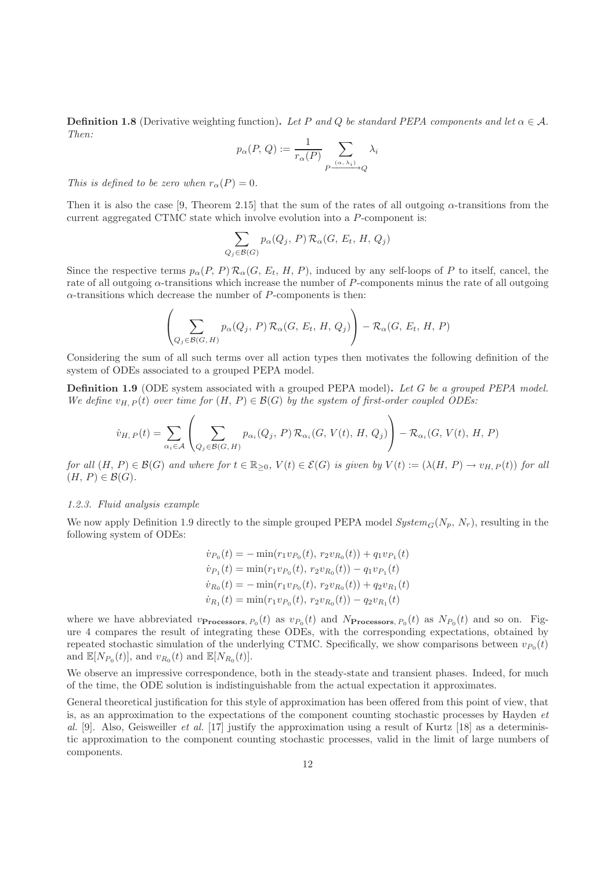**Definition 1.8** (Derivative weighting function). Let P and Q be standard PEPA components and let  $\alpha \in \mathcal{A}$ . *Then:*

$$
p_{\alpha}(P, Q) := \frac{1}{r_{\alpha}(P)} \sum_{P \xrightarrow{(\alpha, \lambda_i)} Q} \lambda_i
$$

*This is defined to be zero when*  $r_{\alpha}(P) = 0$ *.* 

Then it is also the case [9, Theorem 2.15] that the sum of the rates of all outgoing α-transitions from the current aggregated CTMC state which involve evolution into a P-component is:

$$
\sum_{Q_j \in \mathcal{B}(G)} p_{\alpha}(Q_j, P) \mathcal{R}_{\alpha}(G, E_t, H, Q_j)
$$

Since the respective terms  $p_{\alpha}(P, P) \mathcal{R}_{\alpha}(G, E_t, H, P)$ , induced by any self-loops of P to itself, cancel, the rate of all outgoing  $\alpha$ -transitions which increase the number of P-components minus the rate of all outgoing  $\alpha$ -transitions which decrease the number of P-components is then:

$$
\left(\sum_{Q_j\in\mathcal{B}(G,H)}p_{\alpha}(Q_j, P)\mathcal{R}_{\alpha}(G, E_t, H, Q_j)\right) - \mathcal{R}_{\alpha}(G, E_t, H, P)
$$

Considering the sum of all such terms over all action types then motivates the following definition of the system of ODEs associated to a grouped PEPA model.

Definition 1.9 (ODE system associated with a grouped PEPA model). *Let* G *be a grouped PEPA model. We define*  $v_{H, P}(t)$  *over time for*  $(H, P) \in \mathcal{B}(G)$  *by the system of first-order coupled ODEs:* 

$$
\dot{v}_{H,\,P}(t) = \sum_{\alpha_i \in \mathcal{A}} \left( \sum_{Q_j \in \mathcal{B}(G,\,H)} p_{\alpha_i}(Q_j,\,P) \, \mathcal{R}_{\alpha_i}(G,\,V(t),\,H,\,Q_j) \right) - \mathcal{R}_{\alpha_i}(G,\,V(t),\,H,\,P)
$$

*for all*  $(H, P) \in \mathcal{B}(G)$  *and where for*  $t \in \mathbb{R}_{\geq 0}$ ,  $V(t) \in \mathcal{E}(G)$  *is given by*  $V(t) := (\lambda(H, P) \rightarrow v_{H, P}(t))$  *for all*  $(H, P) \in \mathcal{B}(G)$ .

## *1.2.3. Fluid analysis example*

We now apply Definition 1.9 directly to the simple grouped PEPA model  $System_G(N_p, N_r)$ , resulting in the following system of ODEs:

$$
\dot{v}_{P_0}(t) = -\min(r_1 v_{P_0}(t), r_2 v_{R_0}(t)) + q_1 v_{P_1}(t)
$$
  
\n
$$
\dot{v}_{P_1}(t) = \min(r_1 v_{P_0}(t), r_2 v_{R_0}(t)) - q_1 v_{P_1}(t)
$$
  
\n
$$
\dot{v}_{R_0}(t) = -\min(r_1 v_{P_0}(t), r_2 v_{R_0}(t)) + q_2 v_{R_1}(t)
$$
  
\n
$$
\dot{v}_{R_1}(t) = \min(r_1 v_{P_0}(t), r_2 v_{R_0}(t)) - q_2 v_{R_1}(t)
$$

where we have abbreviated  $v_{\text{Processors}, P_0}(t)$  as  $v_{P_0}(t)$  and  $N_{\text{Processors}, P_0}(t)$  as  $N_{P_0}(t)$  and so on. Figure 4 compares the result of integrating these ODEs, with the corresponding expectations, obtained by repeated stochastic simulation of the underlying CTMC. Specifically, we show comparisons between  $v_{P_0}(t)$ and  $\mathbb{E}[N_{P_0}(t)]$ , and  $v_{R_0}(t)$  and  $\mathbb{E}[N_{R_0}(t)]$ .

We observe an impressive correspondence, both in the steady-state and transient phases. Indeed, for much of the time, the ODE solution is indistinguishable from the actual expectation it approximates.

General theoretical justification for this style of approximation has been offered from this point of view, that is, as an approximation to the expectations of the component counting stochastic processes by Hayden *et al.* [9]. Also, Geisweiller *et al.* [17] justify the approximation using a result of Kurtz [18] as a deterministic approximation to the component counting stochastic processes, valid in the limit of large numbers of components.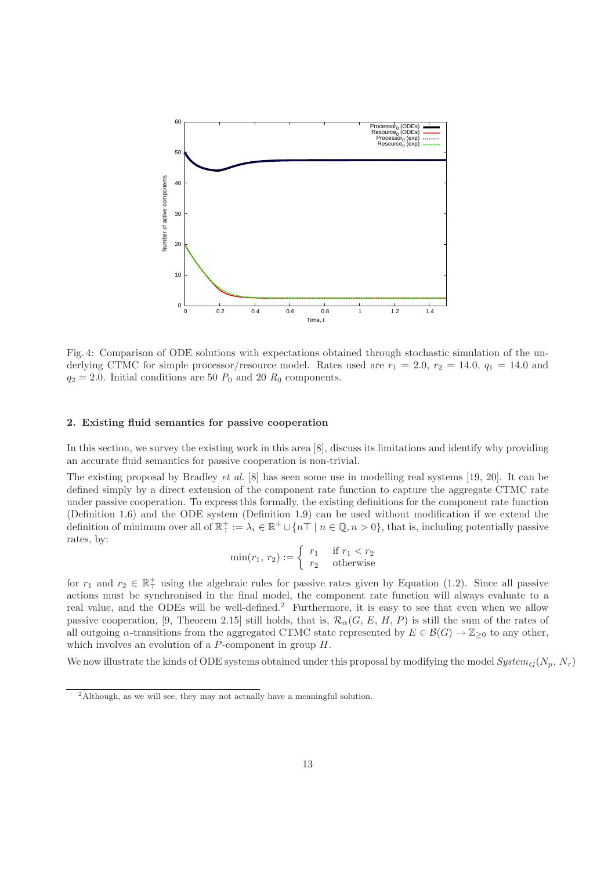

Fig. 4: Comparison of ODE solutions with expectations obtained through stochastic simulation of the underlying CTMC for simple processor/resource model. Rates used are  $r_1 = 2.0$ ,  $r_2 = 14.0$ ,  $q_1 = 14.0$  and  $q_2 = 2.0$ . Initial conditions are 50  $P_0$  and 20  $R_0$  components.

#### 2. Existing fluid semantics for passive cooperation

In this section, we survey the existing work in this area [8], discuss its limitations and identify why providing an accurate fluid semantics for passive cooperation is non-trivial.

The existing proposal by Bradley *et al.* [8] has seen some use in modelling real systems [19, 20]. It can be defined simply by a direct extension of the component rate function to capture the aggregate CTMC rate under passive cooperation. To express this formally, the existing definitions for the component rate function (Definition 1.6) and the ODE system (Definition 1.9) can be used without modification if we extend the definition of minimum over all of  $\mathbb{R}^+_$  :=  $\lambda_i \in \mathbb{R}^+ \cup \{n \top \mid n \in \mathbb{Q}, n > 0\}$ , that is, including potentially passive rates, by:

$$
\min(r_1, r_2) := \begin{cases} r_1 & \text{if } r_1 < r_2 \\ r_2 & \text{otherwise} \end{cases}
$$

for  $r_1$  and  $r_2 \in \mathbb{R}^+$  using the algebraic rules for passive rates given by Equation (1.2). Since all passive actions must be synchronised in the final model, the component rate function will always evaluate to a real value, and the ODEs will be well-defined.<sup>2</sup> Furthermore, it is easy to see that even when we allow passive cooperation, [9, Theorem 2.15] still holds, that is,  $\mathcal{R}_{\alpha}(G, E, H, P)$  is still the sum of the rates of all outgoing  $\alpha$ -transitions from the aggregated CTMC state represented by  $E \in \mathcal{B}(G) \to \mathbb{Z}_{\geq 0}$  to any other, which involves an evolution of a P-component in group  $H$ .

We now illustrate the kinds of ODE systems obtained under this proposal by modifying the model  $System_G(N_p, N_r)$ 

<sup>&</sup>lt;sup>2</sup>Although, as we will see, they may not actually have a meaningful solution.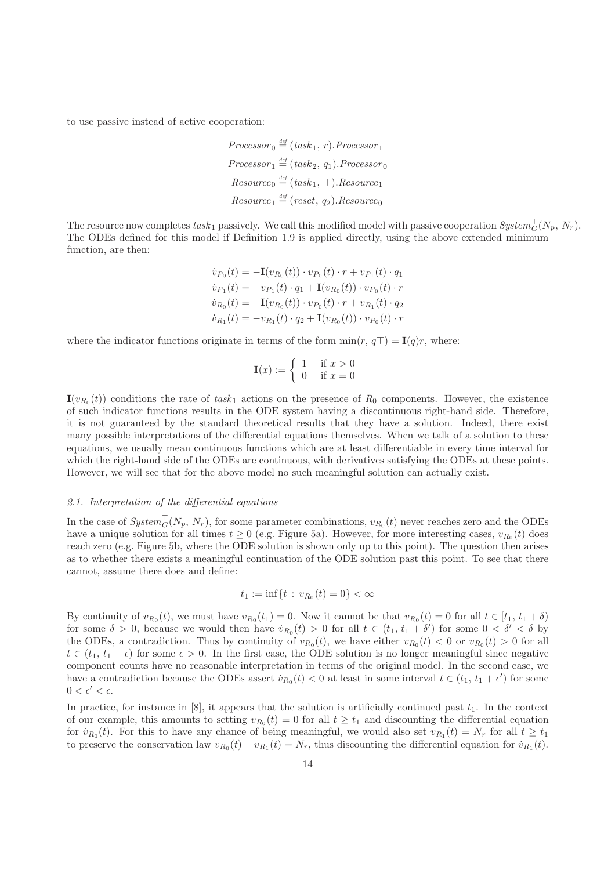to use passive instead of active cooperation:

 $Processor_0 \stackrel{\text{def}}{=} (task_1, r).Processor_1$  $Processor_1 \stackrel{\text{\tiny def}}{=} (task_2, q_1).Processor_0$  $Resource_0 \triangleq (task_1, \top).Resource_1$  $Resource_1 \triangleq (reset, q_2).Resource_0$ 

The resource now completes  $task_1$  passively. We call this modified model with passive cooperation  $System_G^{\top}(N_p, N_r)$ . The ODEs defined for this model if Definition 1.9 is applied directly, using the above extended minimum function, are then:

$$
\dot{v}_{P_0}(t) = -\mathbf{I}(v_{R_0}(t)) \cdot v_{P_0}(t) \cdot r + v_{P_1}(t) \cdot q_1
$$
  
\n
$$
\dot{v}_{P_1}(t) = -v_{P_1}(t) \cdot q_1 + \mathbf{I}(v_{R_0}(t)) \cdot v_{P_0}(t) \cdot r
$$
  
\n
$$
\dot{v}_{R_0}(t) = -\mathbf{I}(v_{R_0}(t)) \cdot v_{P_0}(t) \cdot r + v_{R_1}(t) \cdot q_2
$$
  
\n
$$
\dot{v}_{R_1}(t) = -v_{R_1}(t) \cdot q_2 + \mathbf{I}(v_{R_0}(t)) \cdot v_{P_0}(t) \cdot r
$$

where the indicator functions originate in terms of the form  $\min(r, q\top) = \mathbf{I}(q)r$ , where:

$$
\mathbf{I}(x) := \begin{cases} 1 & \text{if } x > 0 \\ 0 & \text{if } x = 0 \end{cases}
$$

 $\mathbf{I}(v_{R_0}(t))$  conditions the rate of  $task_1$  actions on the presence of  $R_0$  components. However, the existence of such indicator functions results in the ODE system having a discontinuous right-hand side. Therefore, it is not guaranteed by the standard theoretical results that they have a solution. Indeed, there exist many possible interpretations of the differential equations themselves. When we talk of a solution to these equations, we usually mean continuous functions which are at least differentiable in every time interval for which the right-hand side of the ODEs are continuous, with derivatives satisfying the ODEs at these points. However, we will see that for the above model no such meaningful solution can actually exist.

## *2.1. Interpretation of the differential equations*

In the case of  $System_G^{\top}(N_p, N_r)$ , for some parameter combinations,  $v_{R_0}(t)$  never reaches zero and the ODEs have a unique solution for all times  $t \geq 0$  (e.g. Figure 5a). However, for more interesting cases,  $v_{R_0}(t)$  does reach zero (e.g. Figure 5b, where the ODE solution is shown only up to this point). The question then arises as to whether there exists a meaningful continuation of the ODE solution past this point. To see that there cannot, assume there does and define:

$$
t_1 := \inf\{t : v_{R_0}(t) = 0\} < \infty
$$

By continuity of  $v_{R_0}(t)$ , we must have  $v_{R_0}(t_1) = 0$ . Now it cannot be that  $v_{R_0}(t) = 0$  for all  $t \in [t_1, t_1 + \delta)$ for some  $\delta > 0$ , because we would then have  $\dot{v}_{R_0}(t) > 0$  for all  $t \in (t_1, t_1 + \delta')$  for some  $0 < \delta' < \delta$  by the ODEs, a contradiction. Thus by continuity of  $v_{R_0}(t)$ , we have either  $v_{R_0}(t) < 0$  or  $v_{R_0}(t) > 0$  for all  $t \in (t_1, t_1 + \epsilon)$  for some  $\epsilon > 0$ . In the first case, the ODE solution is no longer meaningful since negative component counts have no reasonable interpretation in terms of the original model. In the second case, we have a contradiction because the ODEs assert  $\dot{v}_{R_0}(t) < 0$  at least in some interval  $t \in (t_1, t_1 + \epsilon')$  for some  $0 < \epsilon' < \epsilon$ .

In practice, for instance in [8], it appears that the solution is artificially continued past  $t_1$ . In the context of our example, this amounts to setting  $v_{R_0}(t) = 0$  for all  $t \ge t_1$  and discounting the differential equation for  $\dot{v}_{R_0}(t)$ . For this to have any chance of being meaningful, we would also set  $v_{R_1}(t) = N_r$  for all  $t \ge t_1$ to preserve the conservation law  $v_{R_0}(t) + v_{R_1}(t) = N_r$ , thus discounting the differential equation for  $\dot{v}_{R_1}(t)$ .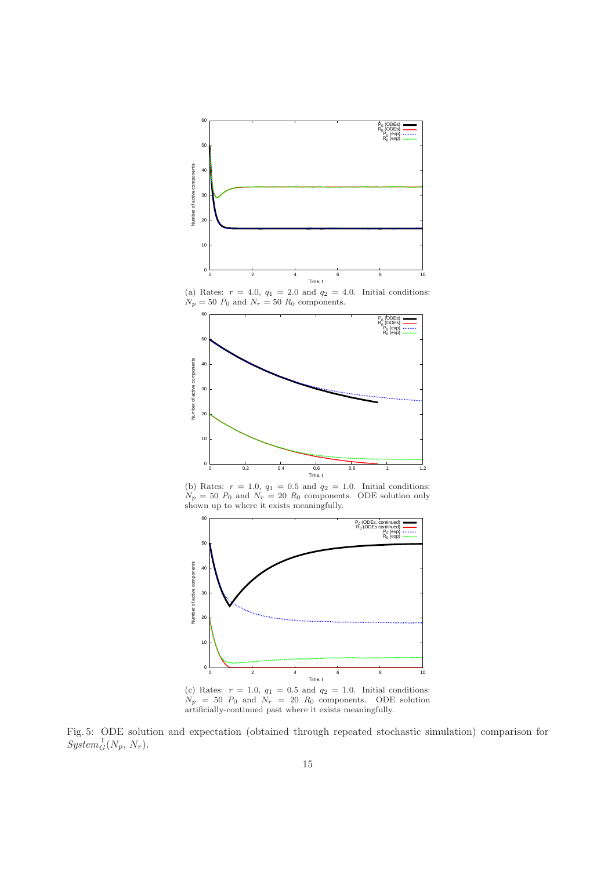

(a) Rates:  $r = 4.0$ ,  $q_1 = 2.0$  and  $q_2 = 4.0$ . Initial conditions:  $N_p = 50$   $P_0$  and  $N_r = 50$   $R_0$  components.



(b) Rates:  $r = 1.0$ ,  $q_1 = 0.5$  and  $q_2 = 1.0$ . Initial conditions:  $N_p = 50$   $P_0$  and  $N_r = 20$   $R_0$  components. ODE solution only shown up to where it exists meaningfully.



(c) Rates:  $r = 1.0$ ,  $q_1 = 0.5$  and  $q_2 = 1.0$ . Initial conditions:  $N_p = 50$   $P_0$  and  $N_r = 20$   $R_0$  components. ODE solution artificially-continued past where it exists meaningfully.

Fig. 5: ODE solution and expectation (obtained through repeated stochastic simulation) comparison for  $System_G^{\top}(N_p, N_r)$ .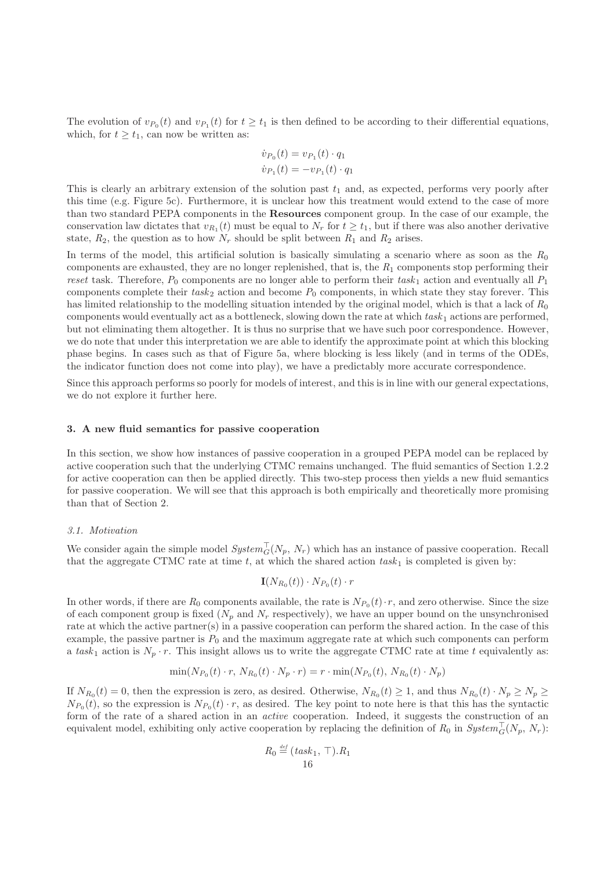The evolution of  $v_{P_0}(t)$  and  $v_{P_1}(t)$  for  $t \geq t_1$  is then defined to be according to their differential equations, which, for  $t \geq t_1$ , can now be written as:

$$
\dot{v}_{P_0}(t) = v_{P_1}(t) \cdot q_1 \n\dot{v}_{P_1}(t) = -v_{P_1}(t) \cdot q_1
$$

This is clearly an arbitrary extension of the solution past  $t_1$  and, as expected, performs very poorly after this time (e.g. Figure 5c). Furthermore, it is unclear how this treatment would extend to the case of more than two standard PEPA components in the Resources component group. In the case of our example, the conservation law dictates that  $v_{R_1}(t)$  must be equal to  $N_r$  for  $t \geq t_1$ , but if there was also another derivative state,  $R_2$ , the question as to how  $N_r$  should be split between  $R_1$  and  $R_2$  arises.

In terms of the model, this artificial solution is basically simulating a scenario where as soon as the  $R_0$ components are exhausted, they are no longer replenished, that is, the *R*<sup>1</sup> components stop performing their *reset* task. Therefore,  $P_0$  components are no longer able to perform their  $task_1$  action and eventually all  $P_1$ components complete their  $task_2$  action and become  $P_0$  components, in which state they stay forever. This has limited relationship to the modelling situation intended by the original model, which is that a lack of  $R_0$ components would eventually act as a bottleneck, slowing down the rate at which *task* <sup>1</sup> actions are performed, but not eliminating them altogether. It is thus no surprise that we have such poor correspondence. However, we do note that under this interpretation we are able to identify the approximate point at which this blocking phase begins. In cases such as that of Figure 5a, where blocking is less likely (and in terms of the ODEs, the indicator function does not come into play), we have a predictably more accurate correspondence.

Since this approach performs so poorly for models of interest, and this is in line with our general expectations, we do not explore it further here.

#### 3. A new fluid semantics for passive cooperation

In this section, we show how instances of passive cooperation in a grouped PEPA model can be replaced by active cooperation such that the underlying CTMC remains unchanged. The fluid semantics of Section 1.2.2 for active cooperation can then be applied directly. This two-step process then yields a new fluid semantics for passive cooperation. We will see that this approach is both empirically and theoretically more promising than that of Section 2.

#### *3.1. Motivation*

We consider again the simple model  $System_G^{\top}(N_p, N_r)$  which has an instance of passive cooperation. Recall that the aggregate CTMC rate at time t, at which the shared action  $task_1$  is completed is given by:

$$
\mathbf{I}(N_{R_0}(t))\cdot N_{P_0}(t)\cdot r
$$

In other words, if there are  $R_0$  components available, the rate is  $N_{P_0}(t) \cdot r$ , and zero otherwise. Since the size of each component group is fixed  $(N_p \text{ and } N_r \text{ respectively})$ , we have an upper bound on the unsynchronised rate at which the active partner(s) in a passive cooperation can perform the shared action. In the case of this example, the passive partner is  $P_0$  and the maximum aggregate rate at which such components can perform a  $task_1$  action is  $N_p \cdot r$ . This insight allows us to write the aggregate CTMC rate at time t equivalently as:

$$
\min(N_{P_0}(t) \cdot r, N_{R_0}(t) \cdot N_p \cdot r) = r \cdot \min(N_{P_0}(t), N_{R_0}(t) \cdot N_p)
$$

If  $N_{R_0}(t) = 0$ , then the expression is zero, as desired. Otherwise,  $N_{R_0}(t) \ge 1$ , and thus  $N_{R_0}(t) \cdot N_p \ge N_p \ge 1$  $N_{P_0}(t)$ , so the expression is  $N_{P_0}(t) \cdot r$ , as desired. The key point to note here is that this has the syntactic form of the rate of a shared action in an *active* cooperation. Indeed, it suggests the construction of an equivalent model, exhibiting only active cooperation by replacing the definition of  $R_0$  in  $System_G^{\top}(N_p, N_r)$ :

$$
R_0 \stackrel{\text{\tiny def}}{=} (task_1, \top).R_1
$$
  
16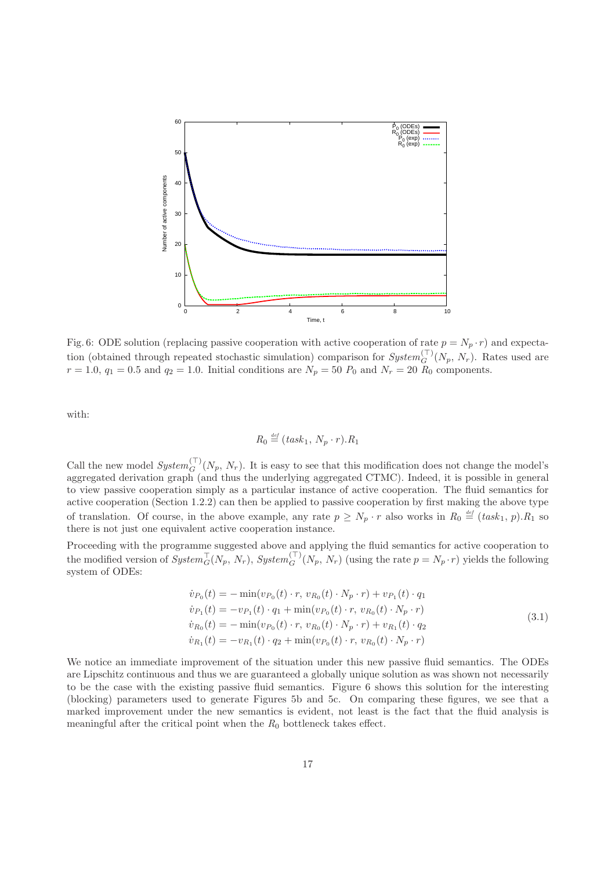

Fig. 6: ODE solution (replacing passive cooperation with active cooperation of rate  $p = N_p \cdot r$ ) and expectation (obtained through repeated stochastic simulation) comparison for  $System_G^{(\top)}(N_p, N_r)$ . Rates used are  $r = 1.0$ ,  $q_1 = 0.5$  and  $q_2 = 1.0$ . Initial conditions are  $N_p = 50$   $P_0$  and  $N_r = 20$   $R_0$  components.

with:

$$
R_0 \stackrel{\text{\tiny def}}{=} (task_1, N_p \cdot r).R_1
$$

Call the new model  $System_G^{(\top)}(N_p, N_r)$ . It is easy to see that this modification does not change the model's aggregated derivation graph (and thus the underlying aggregated CTMC). Indeed, it is possible in general to view passive cooperation simply as a particular instance of active cooperation. The fluid semantics for active cooperation (Section 1.2.2) can then be applied to passive cooperation by first making the above type of translation. Of course, in the above example, any rate  $p \geq N_p \cdot r$  also works in  $R_0 \stackrel{\text{\tiny def}}{=} (task_1, p) \cdot R_1$  so there is not just one equivalent active cooperation instance.

Proceeding with the programme suggested above and applying the fluid semantics for active cooperation to the modified version of  $System_G^{\top}(N_p, N_r)$ ,  $System_G^{(\top)}(N_p, N_r)$  (using the rate  $p = N_p \cdot r$ ) yields the following system of ODEs:

$$
\dot{v}_{P_0}(t) = -\min(v_{P_0}(t) \cdot r, v_{R_0}(t) \cdot N_p \cdot r) + v_{P_1}(t) \cdot q_1
$$
\n
$$
\dot{v}_{P_1}(t) = -v_{P_1}(t) \cdot q_1 + \min(v_{P_0}(t) \cdot r, v_{R_0}(t) \cdot N_p \cdot r)
$$
\n
$$
\dot{v}_{R_0}(t) = -\min(v_{P_0}(t) \cdot r, v_{R_0}(t) \cdot N_p \cdot r) + v_{R_1}(t) \cdot q_2
$$
\n
$$
\dot{v}_{R_1}(t) = -v_{R_1}(t) \cdot q_2 + \min(v_{P_0}(t) \cdot r, v_{R_0}(t) \cdot N_p \cdot r)
$$
\n(3.1)

We notice an immediate improvement of the situation under this new passive fluid semantics. The ODEs are Lipschitz continuous and thus we are guaranteed a globally unique solution as was shown not necessarily to be the case with the existing passive fluid semantics. Figure 6 shows this solution for the interesting (blocking) parameters used to generate Figures 5b and 5c. On comparing these figures, we see that a marked improvement under the new semantics is evident, not least is the fact that the fluid analysis is meaningful after the critical point when the  $R_0$  bottleneck takes effect.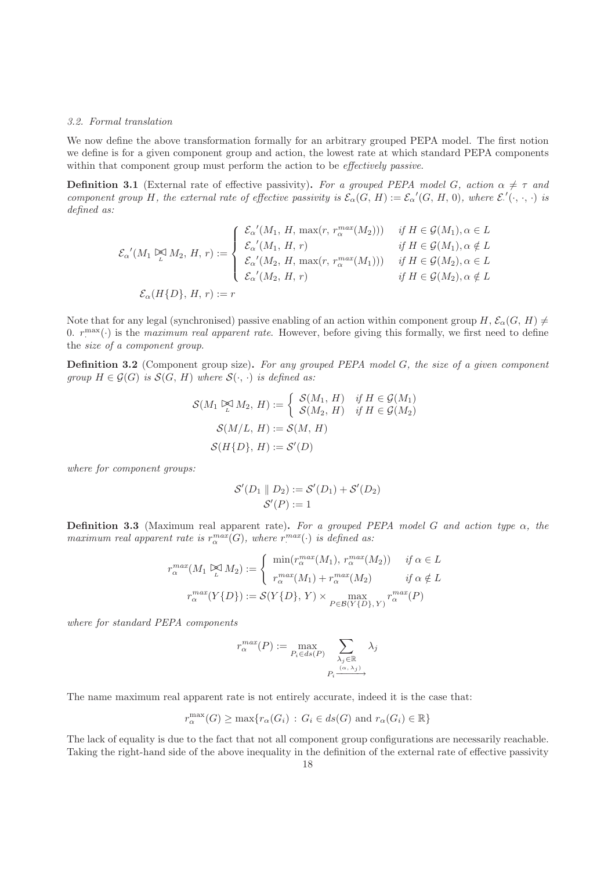#### *3.2. Formal translation*

We now define the above transformation formally for an arbitrary grouped PEPA model. The first notion we define is for a given component group and action, the lowest rate at which standard PEPA components within that component group must perform the action to be *effectively passive*.

**Definition 3.1** (External rate of effective passivity). For a grouped PEPA model G, action  $\alpha \neq \tau$  and *component group* H, the external rate of effective passivity is  $\mathcal{E}_{\alpha}(G, H) := \mathcal{E}_{\alpha}'(G, H, 0)$ , where  $\mathcal{E}'(\cdot, \cdot, \cdot)$  is *defined as:*

$$
\mathcal{E}_{\alpha}'(M_1 \trianglerighteq M_2, H, r) := \begin{cases} \mathcal{E}_{\alpha}'(M_1, H, \max(r, r_{\alpha}^{max}(M_2))) & \text{if } H \in \mathcal{G}(M_1), \alpha \in L \\ \mathcal{E}_{\alpha}'(M_1, H, r) & \text{if } H \in \mathcal{G}(M_1), \alpha \notin L \\ \mathcal{E}_{\alpha}'(M_2, H, \max(r, r_{\alpha}^{max}(M_1))) & \text{if } H \in \mathcal{G}(M_2), \alpha \in L \\ \mathcal{E}_{\alpha}'(M_2, H, r) & \text{if } H \in \mathcal{G}(M_2), \alpha \notin L \end{cases}
$$

Note that for any legal (synchronised) passive enabling of an action within component group  $H$ ,  $\mathcal{E}_{\alpha}(G, H) \neq$  $0. r^{\max}_{\cdot}(\cdot)$  is the *maximum real apparent rate*. However, before giving this formally, we first need to define the *size of a component group*.

Definition 3.2 (Component group size). *For any grouped PEPA model* G*, the size of a given component group*  $H \in \mathcal{G}(G)$  *is*  $\mathcal{S}(G, H)$  *where*  $\mathcal{S}(\cdot, \cdot)$  *is defined as:* 

$$
\mathcal{S}(M_1 \bowtieeq M_2, H) := \begin{cases} \mathcal{S}(M_1, H) & \text{if } H \in \mathcal{G}(M_1) \\ \mathcal{S}(M_2, H) & \text{if } H \in \mathcal{G}(M_2) \end{cases}
$$

$$
\mathcal{S}(M/L, H) := \mathcal{S}(M, H)
$$

$$
\mathcal{S}(H\{D\}, H) := \mathcal{S}'(D)
$$

*where for component groups:*

$$
\mathcal{S}'(D_1 \parallel D_2) := \mathcal{S}'(D_1) + \mathcal{S}'(D_2)
$$

$$
\mathcal{S}'(P) := 1
$$

**Definition 3.3** (Maximum real apparent rate). For a grouped PEPA model G and action type  $\alpha$ , the *maximum real apparent rate is*  $r_\alpha^{max}(G)$ , where  $r_\alpha^{max}(\cdot)$  *is defined as:* 

$$
r_{\alpha}^{max}(M_1 \trianglerighteq M_2) := \begin{cases} \min(r_{\alpha}^{max}(M_1), r_{\alpha}^{max}(M_2)) & \text{if } \alpha \in L \\ r_{\alpha}^{max}(M_1) + r_{\alpha}^{max}(M_2) & \text{if } \alpha \notin L \end{cases}
$$

$$
r_{\alpha}^{max}(Y\{D\}) := \mathcal{S}(Y\{D\}, Y) \times \max_{P \in \mathcal{B}(Y\{D\}, Y)} r_{\alpha}^{max}(P)
$$

*where for standard PEPA components*

$$
r_{\alpha}^{max}(P) := \max_{P_i \in ds(P)} \sum_{\substack{\lambda_j \in \mathbb{R} \\ P_i \xrightarrow{(\alpha, \lambda_j)}}} \lambda_j
$$

The name maximum real apparent rate is not entirely accurate, indeed it is the case that:

$$
r_\alpha^{\max}(G) \ge \max\{r_\alpha(G_i) : G_i \in ds(G) \text{ and } r_\alpha(G_i) \in \mathbb{R}\}\
$$

The lack of equality is due to the fact that not all component group configurations are necessarily reachable. Taking the right-hand side of the above inequality in the definition of the external rate of effective passivity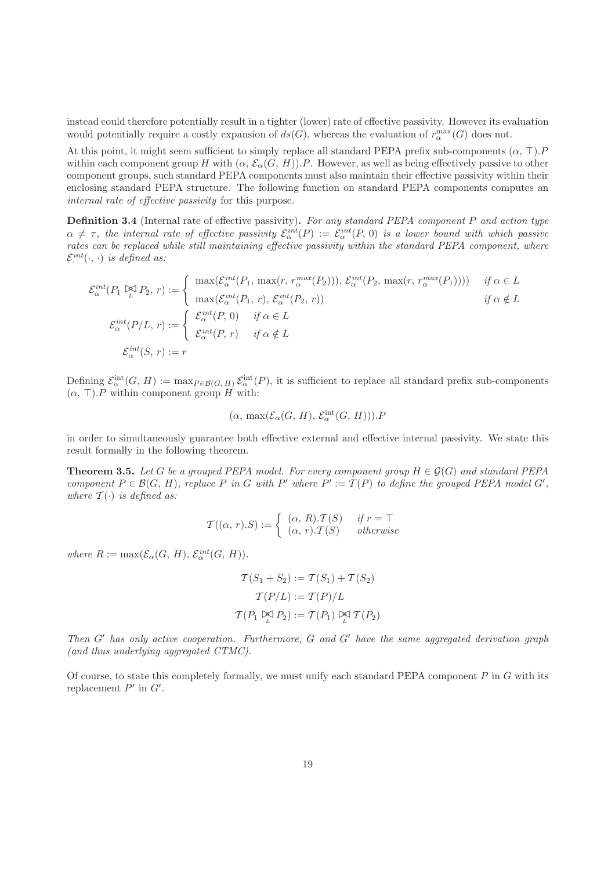instead could therefore potentially result in a tighter (lower) rate of effective passivity. However its evaluation would potentially require a costly expansion of  $ds(G)$ , whereas the evaluation of  $r_\alpha^{\max}(G)$  does not.

At this point, it might seem sufficient to simply replace all standard PEPA prefix sub-components  $(\alpha, \top)$ . within each component group H with  $(\alpha, \mathcal{E}_{\alpha}(G, H)).$  However, as well as being effectively passive to other component groups, such standard PEPA components must also maintain their effective passivity within their enclosing standard PEPA structure. The following function on standard PEPA components computes an *internal rate of effective passivity* for this purpose.

Definition 3.4 (Internal rate of effective passivity). *For any standard PEPA component* P *and action type*  $\alpha \neq \tau$ , the internal rate of effective passivity  $\mathcal{E}^{int}_{\alpha}(P) := \mathcal{E}^{int}_{\alpha}(P, 0)$  is a lower bound with which passive *rates can be replaced while still maintaining effective passivity within the standard PEPA component, where*  $\mathcal{E}^{int}(\cdot, \cdot)$  *is defined as:* 

$$
\mathcal{E}_{\alpha}^{int}(P_1 \trianglerighteq P_2, r) := \begin{cases} \max(\mathcal{E}_{\alpha}^{int}(P_1, \max(r, r_{\alpha}^{max}(P_2))), \mathcal{E}_{\alpha}^{int}(P_2, \max(r, r_{\alpha}^{max}(P_1)))) & \text{if } \alpha \in L \\ \max(\mathcal{E}_{\alpha}^{int}(P_1, r), \mathcal{E}_{\alpha}^{int}(P_2, r)) & \text{if } \alpha \notin L \end{cases}
$$

$$
\mathcal{E}_{\alpha}^{int}(P/L, r) := \begin{cases} \mathcal{E}_{\alpha}^{int}(P, 0) & \text{if } \alpha \in L \\ \mathcal{E}_{\alpha}^{int}(P, r) & \text{if } \alpha \notin L \end{cases}
$$

$$
\mathcal{E}_{\alpha}^{int}(S, r) := r
$$

Defining  $\mathcal{E}^{\text{int}}_{\alpha}(G, H) := \max_{P \in \mathcal{B}(G, H)} \mathcal{E}^{\text{int}}_{\alpha}(P)$ , it is sufficient to replace all standard prefix sub-components  $(\alpha, \top)$ . P within component group H with:

$$
(\alpha, \max(\mathcal{E}_{\alpha}(G, H), \mathcal{E}_{\alpha}^{\text{int}}(G, H))).
$$

in order to simultaneously guarantee both effective external and effective internal passivity. We state this result formally in the following theorem.

**Theorem 3.5.** *Let* G *be a grouped PEPA model. For every component group*  $H \in \mathcal{G}(G)$  *and standard PEPA component*  $P \in \mathcal{B}(G, H)$ *, replace* P in G with P' where  $P' := \mathcal{T}(P)$  to define the grouped PEPA model G', *where*  $\mathcal{T}(\cdot)$  *is defined as:* 

$$
\mathcal{T}((\alpha, r).S) := \begin{cases} (\alpha, R).T(S) & \text{if } r = \top \\ (\alpha, r).T(S) & \text{otherwise} \end{cases}
$$

where  $R := \max(\mathcal{E}_{\alpha}(G, H), \mathcal{E}_{\alpha}^{int}(G, H)).$ 

$$
\mathcal{T}(S_1 + S_2) := \mathcal{T}(S_1) + \mathcal{T}(S_2)
$$

$$
\mathcal{T}(P/L) := \mathcal{T}(P)/L
$$

$$
\mathcal{T}(P_1 \bowtie_{\mathcal{L}} P_2) := \mathcal{T}(P_1) \bowtie_{\mathcal{L}} \mathcal{T}(P_2)
$$

*Then* G′ *has only active cooperation. Furthermore,* G *and* G′ *have the same aggregated derivation graph (and thus underlying aggregated CTMC).*

Of course, to state this completely formally, we must unify each standard PEPA component  $P$  in  $G$  with its replacement  $P'$  in  $G'$ .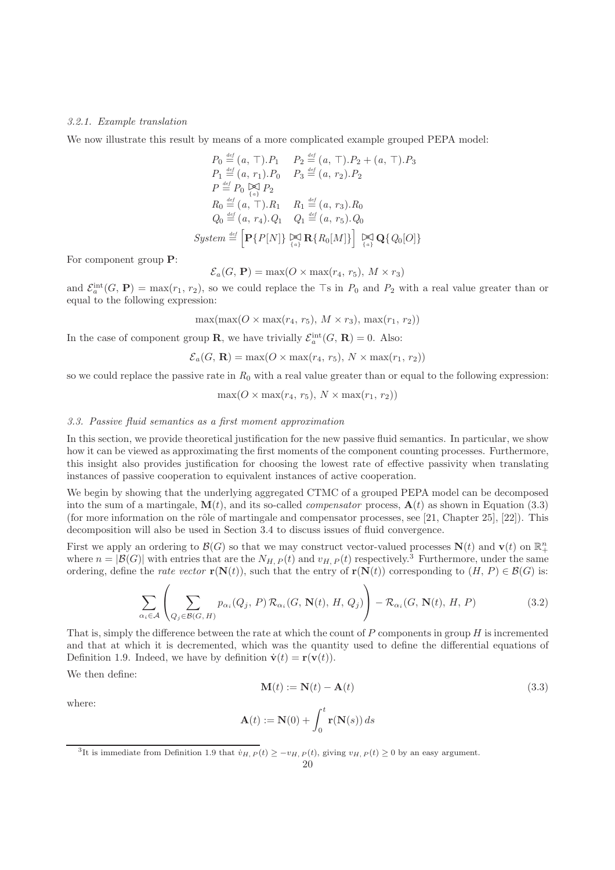#### *3.2.1. Example translation*

We now illustrate this result by means of a more complicated example grouped PEPA model:

$$
P_0 \stackrel{\text{def}}{=} (a, \top).P_1 \qquad P_2 \stackrel{\text{def}}{=} (a, \top).P_2 + (a, \top).P_3
$$
\n
$$
P_1 \stackrel{\text{def}}{=} (a, r_1).P_0 \qquad P_3 \stackrel{\text{def}}{=} (a, r_2).P_2
$$
\n
$$
P \stackrel{\text{def}}{=} P_0 \bowtie P_2
$$
\n
$$
R_0 \stackrel{\text{def}}{=} (a, \top).R_1 \qquad R_1 \stackrel{\text{def}}{=} (a, r_3).R_0
$$
\n
$$
Q_0 \stackrel{\text{def}}{=} (a, r_4).Q_1 \qquad Q_1 \stackrel{\text{def}}{=} (a, r_5).Q_0
$$
\n
$$
System \stackrel{\text{def}}{=} \left[ \mathbf{P} \{ P[N] \} \underset{\{a\}}{\bowtie} \mathbf{R} \{ R_0[M] \} \right] \underset{\{a\}}{\bowtie} \mathbf{Q} \{ Q_0[O] \}
$$

For component group P:

 $\mathcal{E}_a(G, \mathbf{P}) = \max(O \times \max(r_4, r_5), M \times r_3)$ 

and  $\mathcal{E}_a^{\text{int}}(G, \mathbf{P}) = \max(r_1, r_2)$ , so we could replace the ⊤s in  $P_0$  and  $P_2$  with a real value greater than or equal to the following expression:

 $\max(\max(O \times \max(r_4, r_5), M \times r_3), \max(r_1, r_2))$ 

In the case of component group **R**, we have trivially  $\mathcal{E}_a^{\text{int}}(G, \mathbf{R}) = 0$ . Also:

 $\mathcal{E}_a(G, \mathbf{R}) = \max(O \times \max(r_4, r_5), N \times \max(r_1, r_2))$ 

so we could replace the passive rate in *R*<sup>0</sup> with a real value greater than or equal to the following expression:

$$
\max(O \times \max(r_4, r_5), N \times \max(r_1, r_2))
$$

#### *3.3. Passive fluid semantics as a first moment approximation*

In this section, we provide theoretical justification for the new passive fluid semantics. In particular, we show how it can be viewed as approximating the first moments of the component counting processes. Furthermore, this insight also provides justification for choosing the lowest rate of effective passivity when translating instances of passive cooperation to equivalent instances of active cooperation.

We begin by showing that the underlying aggregated CTMC of a grouped PEPA model can be decomposed into the sum of a martingale,  $\mathbf{M}(t)$ , and its so-called *compensator* process,  $\mathbf{A}(t)$  as shown in Equation (3.3) (for more information on the rôle of martingale and compensator processes, see  $[21,$  Chapter  $25]$ ,  $[22]$ ). This decomposition will also be used in Section 3.4 to discuss issues of fluid convergence.

First we apply an ordering to  $\mathcal{B}(G)$  so that we may construct vector-valued processes  $\mathbf{N}(t)$  and  $\mathbf{v}(t)$  on  $\mathbb{R}^n_+$ where  $n = |\mathcal{B}(G)|$  with entries that are the  $N_{H, P}(t)$  and  $v_{H, P}(t)$  respectively.<sup>3</sup> Furthermore, under the same ordering, define the *rate vector*  $\mathbf{r}(\mathbf{N}(t))$ , such that the entry of  $\mathbf{r}(\mathbf{N}(t))$  corresponding to  $(H, P) \in \mathcal{B}(G)$  is:

$$
\sum_{\alpha_i \in \mathcal{A}} \left( \sum_{Q_j \in \mathcal{B}(G, H)} p_{\alpha_i}(Q_j, P) \mathcal{R}_{\alpha_i}(G, \mathbf{N}(t), H, Q_j) \right) - \mathcal{R}_{\alpha_i}(G, \mathbf{N}(t), H, P) \tag{3.2}
$$

That is, simply the difference between the rate at which the count of  $P$  components in group  $H$  is incremented and that at which it is decremented, which was the quantity used to define the differential equations of Definition 1.9. Indeed, we have by definition  $\dot{\mathbf{v}}(t) = \mathbf{r}(\mathbf{v}(t)).$ 

We then define:

where:

$$
\mathbf{M}(t) := \mathbf{N}(t) - \mathbf{A}(t)
$$
\n
$$
\mathbf{A}(t) := \mathbf{N}(0) + \int^t \mathbf{r}(\mathbf{N}(s)) ds
$$
\n(3.3)

<sup>3</sup>It is immediate from Definition 1.9 that  $\dot{v}_{H, P}(t) \geq -v_{H, P}(t)$ , giving  $v_{H, P}(t) \geq 0$  by an easy argument.

0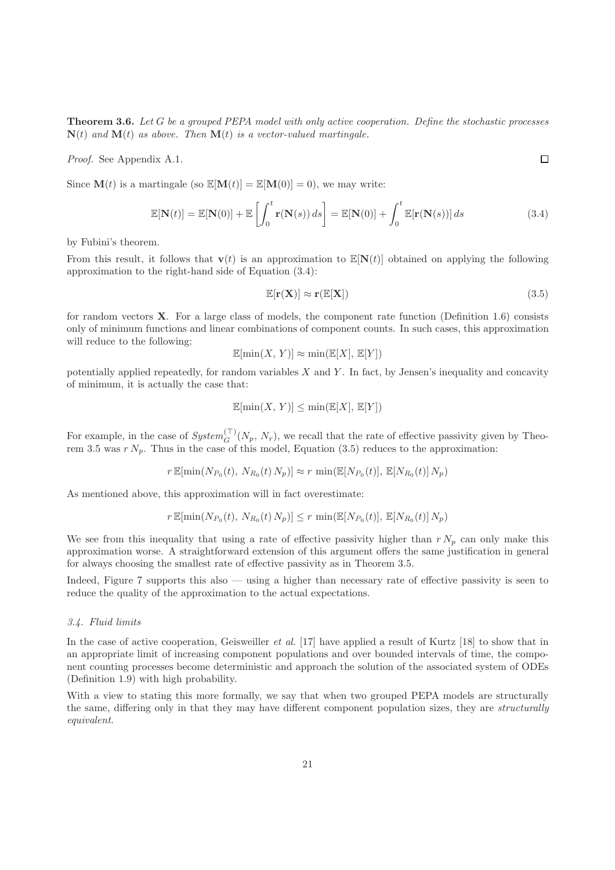Theorem 3.6. *Let* G *be a grouped PEPA model with only active cooperation. Define the stochastic processes*  $N(t)$  *and*  $M(t)$  *as above. Then*  $M(t)$  *is a vector-valued martingale.* 

*Proof.* See Appendix A.1.

Since  $\mathbf{M}(t)$  is a martingale (so  $\mathbb{E}[\mathbf{M}(t)] = \mathbb{E}[\mathbf{M}(0)] = 0$ ), we may write:

$$
\mathbb{E}[\mathbf{N}(t)] = \mathbb{E}[\mathbf{N}(0)] + \mathbb{E}\left[\int_0^t \mathbf{r}(\mathbf{N}(s)) ds\right] = \mathbb{E}[\mathbf{N}(0)] + \int_0^t \mathbb{E}[\mathbf{r}(\mathbf{N}(s))] ds
$$
\n(3.4)

by Fubini's theorem.

From this result, it follows that  $\mathbf{v}(t)$  is an approximation to  $\mathbb{E}[\mathbf{N}(t)]$  obtained on applying the following approximation to the right-hand side of Equation (3.4):

$$
\mathbb{E}[\mathbf{r}(\mathbf{X})] \approx \mathbf{r}(\mathbb{E}[\mathbf{X}]) \tag{3.5}
$$

for random vectors X. For a large class of models, the component rate function (Definition 1.6) consists only of minimum functions and linear combinations of component counts. In such cases, this approximation will reduce to the following:

$$
\mathbb{E}[\min(X, Y)] \approx \min(\mathbb{E}[X], \mathbb{E}[Y])
$$

potentially applied repeatedly, for random variables  $X$  and  $Y$ . In fact, by Jensen's inequality and concavity of minimum, it is actually the case that:

$$
\mathbb{E}[\min(X, Y)] \le \min(\mathbb{E}[X], \mathbb{E}[Y])
$$

For example, in the case of  $System_G^{(\top)}(N_p, N_r)$ , we recall that the rate of effective passivity given by Theorem 3.5 was  $r N_p$ . Thus in the case of this model, Equation (3.5) reduces to the approximation:

$$
r \mathbb{E}[\min(N_{P_0}(t), N_{R_0}(t) N_p)] \approx r \min(\mathbb{E}[N_{P_0}(t)], \mathbb{E}[N_{R_0}(t)] N_p)
$$

As mentioned above, this approximation will in fact overestimate:

$$
r \mathbb{E}[\min(N_{P_0}(t), N_{R_0}(t) N_p)] \le r \min(\mathbb{E}[N_{P_0}(t)], \mathbb{E}[N_{R_0}(t)] N_p)
$$

We see from this inequality that using a rate of effective passivity higher than  $r N_p$  can only make this approximation worse. A straightforward extension of this argument offers the same justification in general for always choosing the smallest rate of effective passivity as in Theorem 3.5.

Indeed, Figure 7 supports this also — using a higher than necessary rate of effective passivity is seen to reduce the quality of the approximation to the actual expectations.

#### *3.4. Fluid limits*

In the case of active cooperation, Geisweiller *et al.* [17] have applied a result of Kurtz [18] to show that in an appropriate limit of increasing component populations and over bounded intervals of time, the component counting processes become deterministic and approach the solution of the associated system of ODEs (Definition 1.9) with high probability.

With a view to stating this more formally, we say that when two grouped PEPA models are structurally the same, differing only in that they may have different component population sizes, they are *structurally equivalent*.

 $\Box$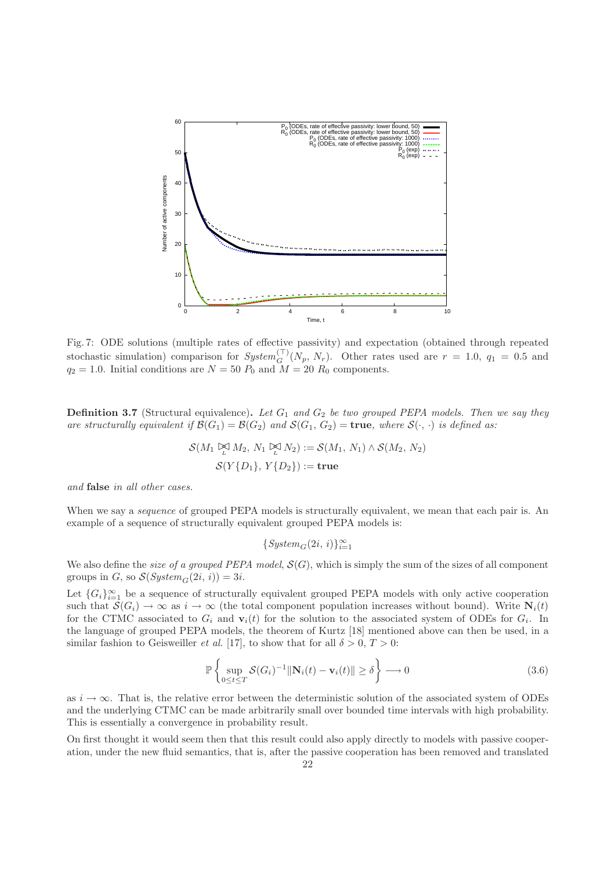

Fig. 7: ODE solutions (multiple rates of effective passivity) and expectation (obtained through repeated stochastic simulation) comparison for  $System_G^{(\top)}(N_p, N_r)$ . Other rates used are  $r = 1.0, q_1 = 0.5$  and  $q_2 = 1.0$ . Initial conditions are  $N = 50 P_0$  and  $M = 20 R_0$  components.

**Definition 3.7** (Structural equivalence). Let  $G_1$  and  $G_2$  be two grouped PEPA models. Then we say they *are structurally equivalent if*  $\mathcal{B}(G_1) = \mathcal{B}(G_2)$  *and*  $\mathcal{S}(G_1, G_2) =$ **true***, where*  $\mathcal{S}(\cdot, \cdot)$  *is defined as:* 

$$
\mathcal{S}(M_1 \not\trianglerighteq M_2, N_1 \not\trianglerighteq N_2) := \mathcal{S}(M_1, N_1) \wedge \mathcal{S}(M_2, N_2)
$$

$$
\mathcal{S}(Y\{D_1\}, Y\{D_2\}) := \text{true}
$$

*and* false *in all other cases.*

When we say a *sequence* of grouped PEPA models is structurally equivalent, we mean that each pair is. An example of a sequence of structurally equivalent grouped PEPA models is:

 $\{System_G(2i, i)\}_{i=1}^{\infty}$ 

We also define the *size of a grouped PEPA model*,  $\mathcal{S}(G)$ , which is simply the sum of the sizes of all component groups in G, so  $\mathcal{S}(System_G(2i, i)) = 3i$ .

Let  ${G_i}_{i=1}^{\infty}$  be a sequence of structurally equivalent grouped PEPA models with only active cooperation such that  $\mathcal{S}(G_i) \to \infty$  as  $i \to \infty$  (the total component population increases without bound). Write  $N_i(t)$ for the CTMC associated to  $G_i$  and  $\mathbf{v}_i(t)$  for the solution to the associated system of ODEs for  $G_i$ . In the language of grouped PEPA models, the theorem of Kurtz [18] mentioned above can then be used, in a similar fashion to Geisweiller *et al.* [17], to show that for all  $\delta > 0$ ,  $T > 0$ :

$$
\mathbb{P}\left\{\sup_{0\leq t\leq T} \mathcal{S}(G_i)^{-1} \|\mathbf{N}_i(t) - \mathbf{v}_i(t)\| \geq \delta\right\} \longrightarrow 0\tag{3.6}
$$

as  $i \to \infty$ . That is, the relative error between the deterministic solution of the associated system of ODEs and the underlying CTMC can be made arbitrarily small over bounded time intervals with high probability. This is essentially a convergence in probability result.

On first thought it would seem then that this result could also apply directly to models with passive cooperation, under the new fluid semantics, that is, after the passive cooperation has been removed and translated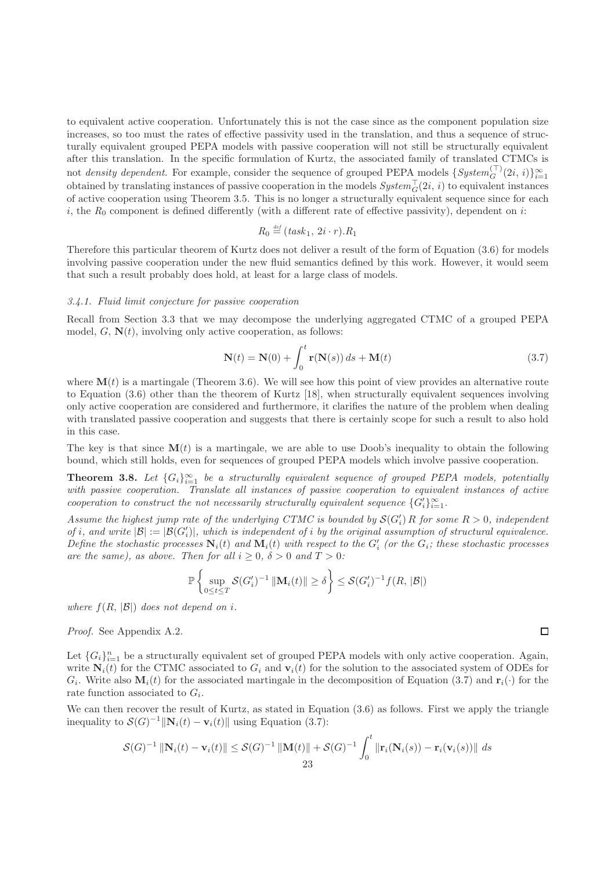to equivalent active cooperation. Unfortunately this is not the case since as the component population size increases, so too must the rates of effective passivity used in the translation, and thus a sequence of structurally equivalent grouped PEPA models with passive cooperation will not still be structurally equivalent after this translation. In the specific formulation of Kurtz, the associated family of translated CTMCs is not *density dependent*. For example, consider the sequence of grouped PEPA models  $\{System_G^{(\top)}(2i, i)\}_{i=1}^{\infty}$ obtained by translating instances of passive cooperation in the models *System*<sup>⊤</sup> <sup>G</sup>(2i, i) to equivalent instances of active cooperation using Theorem 3.5. This is no longer a structurally equivalent sequence since for each i, the  $R_0$  component is defined differently (with a different rate of effective passivity), dependent on i:

$$
R_0 \stackrel{\text{\tiny def}}{=} (task_1, 2i \cdot r).R_1
$$

Therefore this particular theorem of Kurtz does not deliver a result of the form of Equation (3.6) for models involving passive cooperation under the new fluid semantics defined by this work. However, it would seem that such a result probably does hold, at least for a large class of models.

#### *3.4.1. Fluid limit conjecture for passive cooperation*

Recall from Section 3.3 that we may decompose the underlying aggregated CTMC of a grouped PEPA model,  $G$ ,  $N(t)$ , involving only active cooperation, as follows:

$$
\mathbf{N}(t) = \mathbf{N}(0) + \int_0^t \mathbf{r}(\mathbf{N}(s)) ds + \mathbf{M}(t)
$$
\n(3.7)

where  $\mathbf{M}(t)$  is a martingale (Theorem 3.6). We will see how this point of view provides an alternative route to Equation (3.6) other than the theorem of Kurtz [18], when structurally equivalent sequences involving only active cooperation are considered and furthermore, it clarifies the nature of the problem when dealing with translated passive cooperation and suggests that there is certainly scope for such a result to also hold in this case.

The key is that since  $\mathbf{M}(t)$  is a martingale, we are able to use Doob's inequality to obtain the following bound, which still holds, even for sequences of grouped PEPA models which involve passive cooperation.

**Theorem 3.8.** Let  $\{G_i\}_{i=1}^{\infty}$  be a structurally equivalent sequence of grouped PEPA models, potentially *with passive cooperation. Translate all instances of passive cooperation to equivalent instances of active cooperation to construct the not necessarily structurally equivalent sequence*  $\{G'_i\}_{i=1}^{\infty}$ .

*Assume the highest jump rate of the underlying CTMC is bounded by*  $\mathcal{S}(G_i')$  R *for some*  $R > 0$ *, independent of i*, and write  $|\mathcal{B}| := |\mathcal{B}(G'_i)|$ , which is independent of *i* by the original assumption of structural equivalence. *Define the stochastic processes*  $N_i(t)$  *and*  $M_i(t)$  *with respect to the*  $G'_i$  *(or the*  $G_i$ *; these stochastic processes are the same), as above. Then for all*  $i > 0$ ,  $\delta > 0$  *and*  $T > 0$ *:* 

$$
\mathbb{P}\left\{\sup_{0\leq t\leq T} \mathcal{S}(G'_i)^{-1} \left\|\mathbf{M}_i(t)\right\| \geq \delta\right\} \leq \mathcal{S}(G'_i)^{-1} f(R, |\mathcal{B}|)
$$

*where*  $f(R, |\mathcal{B}|)$  *does not depend on i.* 

*Proof.* See Appendix A.2.

Let  $\{G_i\}_{i=1}^n$  be a structurally equivalent set of grouped PEPA models with only active cooperation. Again, write  $N_i(t)$  for the CTMC associated to  $G_i$  and  $\mathbf{v}_i(t)$  for the solution to the associated system of ODEs for  $G_i$ . Write also  $\mathbf{M}_i(t)$  for the associated martingale in the decomposition of Equation (3.7) and  $\mathbf{r}_i(\cdot)$  for the rate function associated to  $G_i$ .

We can then recover the result of Kurtz, as stated in Equation  $(3.6)$  as follows. First we apply the triangle inequality to  $\mathcal{S}(G)^{-1} \|\mathbf{N}_i(t) - \mathbf{v}_i(t)\|$  using Equation (3.7):

$$
\mathcal{S}(G)^{-1} \|\mathbf{N}_{i}(t) - \mathbf{v}_{i}(t)\| \leq \mathcal{S}(G)^{-1} \|\mathbf{M}(t)\| + \mathcal{S}(G)^{-1} \int_{0}^{t} \|\mathbf{r}_{i}(\mathbf{N}_{i}(s)) - \mathbf{r}_{i}(\mathbf{v}_{i}(s))\| ds
$$

 $\Box$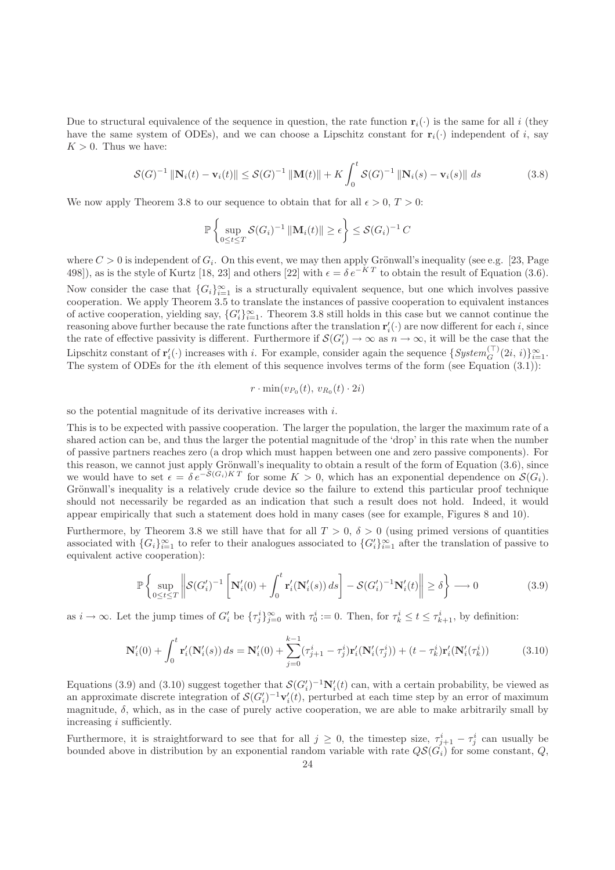Due to structural equivalence of the sequence in question, the rate function  $\mathbf{r}_i(\cdot)$  is the same for all i (they have the same system of ODEs), and we can choose a Lipschitz constant for  $\mathbf{r}_i(\cdot)$  independent of i, say  $K > 0$ . Thus we have:

$$
S(G)^{-1} \|\mathbf{N}_{i}(t) - \mathbf{v}_{i}(t)\| \le S(G)^{-1} \|\mathbf{M}(t)\| + K \int_{0}^{t} S(G)^{-1} \|\mathbf{N}_{i}(s) - \mathbf{v}_{i}(s)\| ds \qquad (3.8)
$$

We now apply Theorem 3.8 to our sequence to obtain that for all  $\epsilon > 0$ ,  $T > 0$ :

$$
\mathbb{P}\left\{\sup_{0\leq t\leq T} \mathcal{S}(G_i)^{-1} \left\|\mathbf{M}_i(t)\right\| \geq \epsilon\right\} \leq \mathcal{S}(G_i)^{-1} C
$$

where  $C > 0$  is independent of  $G_i$ . On this event, we may then apply Grönwall's inequality (see e.g. [23, Page 498]), as is the style of Kurtz [18, 23] and others [22] with  $\epsilon = \delta e^{-KT}$  to obtain the result of Equation (3.6). Now consider the case that  ${G_i}_{i=1}^{\infty}$  is a structurally equivalent sequence, but one which involves passive cooperation. We apply Theorem 3.5 to translate the instances of passive cooperation to equivalent instances of active cooperation, yielding say,  $\{G'_i\}_{i=1}^{\infty}$ . Theorem 3.8 still holds in this case but we cannot continue the reasoning above further because the rate functions after the translation  $\mathbf{r}'_i(\cdot)$  are now different for each i, since the rate of effective passivity is different. Furthermore if  $\mathcal{S}(G_i') \to \infty$  as  $n \to \infty$ , it will be the case that the Lipschitz constant of  $\mathbf{r}'_i(\cdot)$  increases with i. For example, consider again the sequence  $\{System_G^{(\top)}(2i, i)\}_{i=1}^{\infty}$ . The system of ODEs for the *i*th element of this sequence involves terms of the form (see Equation (3.1)):

$$
r \cdot \min(v_{P_0}(t), v_{R_0}(t) \cdot 2i)
$$

so the potential magnitude of its derivative increases with i.

This is to be expected with passive cooperation. The larger the population, the larger the maximum rate of a shared action can be, and thus the larger the potential magnitude of the 'drop' in this rate when the number of passive partners reaches zero (a drop which must happen between one and zero passive components). For this reason, we cannot just apply Grönwall's inequality to obtain a result of the form of Equation  $(3.6)$ , since we would have to set  $\epsilon = \delta e^{-\mathcal{S}(G_i)KT}$  for some  $K > 0$ , which has an exponential dependence on  $\mathcal{S}(G_i)$ . Grönwall's inequality is a relatively crude device so the failure to extend this particular proof technique should not necessarily be regarded as an indication that such a result does not hold. Indeed, it would appear empirically that such a statement does hold in many cases (see for example, Figures 8 and 10).

Furthermore, by Theorem 3.8 we still have that for all  $T > 0$ ,  $\delta > 0$  (using primed versions of quantities associated with  $\{G_i\}_{i=1}^{\infty}$  to refer to their analogues associated to  $\{G'_i\}_{i=1}^{\infty}$  after the translation of passive to equivalent active cooperation):

$$
\mathbb{P}\left\{\sup_{0\leq t\leq T}\left\|\mathcal{S}(G_i')^{-1}\left[\mathbf{N}_i'(0)+\int_0^t \mathbf{r}_i'(\mathbf{N}_i'(s))\,ds\right]-\mathcal{S}(G_i')^{-1}\mathbf{N}_i'(t)\right\|\geq \delta\right\}\longrightarrow 0\tag{3.9}
$$

as  $i \to \infty$ . Let the jump times of  $G_i'$  be  $\{\tau_j^i\}_{j=0}^{\infty}$  with  $\tau_0^i := 0$ . Then, for  $\tau_k^i \le t \le \tau_{k+1}^i$ , by definition:

$$
\mathbf{N}'_i(0) + \int_0^t \mathbf{r}'_i(\mathbf{N}'_i(s)) ds = \mathbf{N}'_i(0) + \sum_{j=0}^{k-1} (\tau^i_{j+1} - \tau^i_j) \mathbf{r}'_i(\mathbf{N}'_i(\tau^i_j)) + (t - \tau^i_k) \mathbf{r}'_i(\mathbf{N}'_i(\tau^i_k))
$$
(3.10)

Equations (3.9) and (3.10) suggest together that  $\mathcal{S}(G_i')^{-1}N_i'(t)$  can, with a certain probability, be viewed as an approximate discrete integration of  $\mathcal{S}(G_i')^{-1} \mathbf{v}_i'(t)$ , perturbed at each time step by an error of maximum magnitude,  $\delta$ , which, as in the case of purely active cooperation, we are able to make arbitrarily small by increasing i sufficiently.

Furthermore, it is straightforward to see that for all  $j \geq 0$ , the timestep size,  $\tau_{j+1}^i - \tau_j^i$  can usually be bounded above in distribution by an exponential random variable with rate  $Q\mathcal{S}(G_i)$  for some constant,  $Q$ ,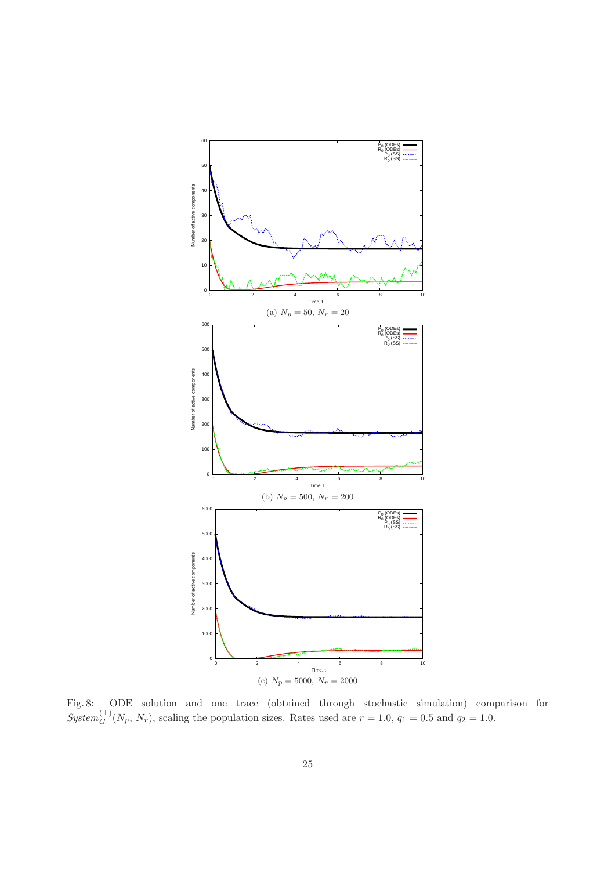

Fig. 8: ODE solution and one trace (obtained through stochastic simulation) comparison for  $System_G^{(\top)}(N_p, N_r)$ , scaling the population sizes. Rates used are  $r = 1.0$ ,  $q_1 = 0.5$  and  $q_2 = 1.0$ .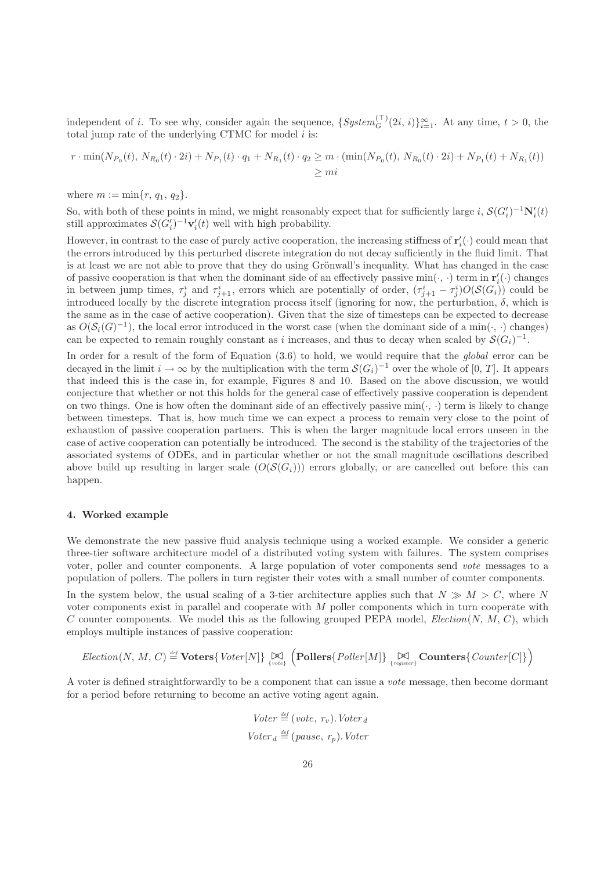independent of *i*. To see why, consider again the sequence,  $\{System_G^{(\top)}(2i, i)\}_{i=1}^{\infty}$ . At any time,  $t > 0$ , the total jump rate of the underlying CTMC for model  $i$  is:

$$
r \cdot \min(N_{P_0}(t), N_{R_0}(t) \cdot 2i) + N_{P_1}(t) \cdot q_1 + N_{R_1}(t) \cdot q_2 \ge m \cdot (\min(N_{P_0}(t), N_{R_0}(t) \cdot 2i) + N_{P_1}(t) + N_{R_1}(t))
$$
  
 
$$
\ge mi
$$

where  $m := \min\{r, q_1, q_2\}.$ 

So, with both of these points in mind, we might reasonably expect that for sufficiently large  $i$ ,  $\mathcal{S}(G_i')^{-1} \mathbf{N}_i'(t)$ still approximates  $\mathcal{S}(G_i')^{-1} \mathbf{v}_i'(t)$  well with high probability.

However, in contrast to the case of purely active cooperation, the increasing stiffness of  $\mathbf{r}'_i(\cdot)$  could mean that the errors introduced by this perturbed discrete integration do not decay sufficiently in the fluid limit. That is at least we are not able to prove that they do using Grönwall's inequality. What has changed in the case of passive cooperation is that when the dominant side of an effectively passive  $\min(\cdot, \cdot)$  term in  $\mathbf{r}'_i(\cdot)$  changes in between jump times,  $\tau_j^i$  and  $\tau_{j+1}^i$ , errors which are potentially of order,  $(\tau_{j+1}^i - \tau_j^i)O(\mathcal{S}(G_i))$  could be introduced locally by the discrete integration process itself (ignoring for now, the perturbation,  $\delta$ , which is the same as in the case of active cooperation). Given that the size of timesteps can be expected to decrease as  $O(\mathcal{S}_i(G)^{-1})$ , the local error introduced in the worst case (when the dominant side of a min( $\cdot$ ,  $\cdot$ ) changes) can be expected to remain roughly constant as i increases, and thus to decay when scaled by  $\mathcal{S}(G_i)^{-1}$ .

In order for a result of the form of Equation (3.6) to hold, we would require that the *global* error can be decayed in the limit  $i \to \infty$  by the multiplication with the term  $\mathcal{S}(G_i)^{-1}$  over the whole of  $[0, T]$ . It appears that indeed this is the case in, for example, Figures 8 and 10. Based on the above discussion, we would conjecture that whether or not this holds for the general case of effectively passive cooperation is dependent on two things. One is how often the dominant side of an effectively passive  $\min(\cdot, \cdot)$  term is likely to change between timesteps. That is, how much time we can expect a process to remain very close to the point of exhaustion of passive cooperation partners. This is when the larger magnitude local errors unseen in the case of active cooperation can potentially be introduced. The second is the stability of the trajectories of the associated systems of ODEs, and in particular whether or not the small magnitude oscillations described above build up resulting in larger scale  $(O(S(G_i)))$  errors globally, or are cancelled out before this can happen.

### 4. Worked example

We demonstrate the new passive fluid analysis technique using a worked example. We consider a generic three-tier software architecture model of a distributed voting system with failures. The system comprises voter, poller and counter components. A large population of voter components send *vote* messages to a population of pollers. The pollers in turn register their votes with a small number of counter components.

In the system below, the usual scaling of a 3-tier architecture applies such that  $N \gg M > C$ , where N voter components exist in parallel and cooperate with M poller components which in turn cooperate with C counter components. We model this as the following grouped PEPA model, *Election*(N, M, C), which employs multiple instances of passive cooperation:

$$
Electronic(N,\,M,\,C) \stackrel{\mathrm{\scriptscriptstyle def}}{=} \mathbf{Voters} \{\mathit{Voter}[N]\} \underset{\{\mathit{vote}\}}{\bowtie} \Big(\mathbf{Pollers} \{\mathit{Poller}[M]\} \underset{\{\mathit{register}\}}{\bowtie} \mathbf{Counter}[\mathit{C}]\} \Big)
$$

A voter is defined straightforwardly to be a component that can issue a *vote* message, then become dormant for a period before returning to become an active voting agent again.

$$
Voter \stackrel{\text{def}}{=} (vote, r_v).Voter_d
$$
  

$$
Voter_d \stackrel{\text{def}}{=} (pause, r_p).Voter
$$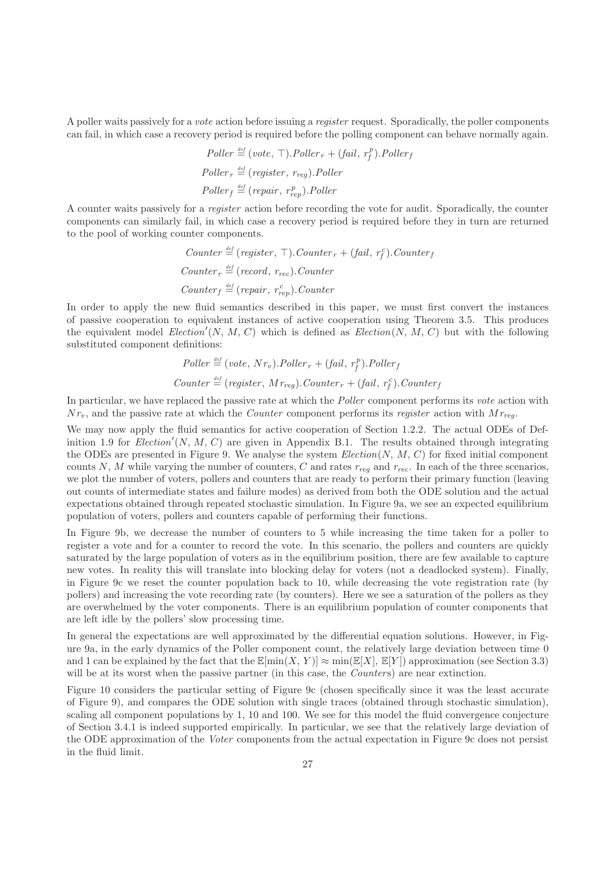A poller waits passively for a *vote* action before issuing a *register* request. Sporadically, the poller components can fail, in which case a recovery period is required before the polling component can behave normally again.

> $Poller \stackrel{\text{def}}{=} (vote, \top). Poller_r + (fail, r_f^p). Poller_f$  $Poller<sub>r</sub> \stackrel{\text{def}}{=} (register, r_{reg}).$ *Poller*  $Poller_f \triangleq (repair, r_{rep}^p)$ . *Poller*

A counter waits passively for a *register* action before recording the vote for audit. Sporadically, the counter components can similarly fail, in which case a recovery period is required before they in turn are returned to the pool of working counter components.

> $Counter \stackrel{\text{\tiny def}}{=} (register, \top)$ .  $Counter_r + (fail, r_f^c)$ .  $Counter_f$  $Counter_r \stackrel{\text{\tiny def}}{=} (record, r_{rec}).Counter$  $Counter_f \stackrel{\text{{\tiny def}}}{=} ( repair, r_{rep}^c)$ . *Counter*

In order to apply the new fluid semantics described in this paper, we must first convert the instances of passive cooperation to equivalent instances of active cooperation using Theorem 3.5. This produces the equivalent model  $Electronic'(N, M, C)$  which is defined as  $Electronic(N, M, C)$  but with the following substituted component definitions:

$$
Poller \stackrel{\text{def}}{=} (vote, Nr_v).Poller_r + (fail, r_f^p).Poller_f
$$
  
Counter \stackrel{\text{def}}{=} (register, Mr\_{reg}).Counter\_r + (fail, r\_f^c). Counter\_f

In particular, we have replaced the passive rate at which the *Poller* component performs its *vote* action with  $Nr_v$ , and the passive rate at which the *Counter* component performs its *register* action with  $Mr_{req}$ .

We may now apply the fluid semantics for active cooperation of Section 1.2.2. The actual ODEs of Definition 1.9 for *Election*′ (N, M, C) are given in Appendix B.1. The results obtained through integrating the ODEs are presented in Figure 9. We analyse the system  $Electronic(N, M, C)$  for fixed initial component counts N, M while varying the number of counters, C and rates  $r_{reg}$  and  $r_{rec}$ . In each of the three scenarios, we plot the number of voters, pollers and counters that are ready to perform their primary function (leaving out counts of intermediate states and failure modes) as derived from both the ODE solution and the actual expectations obtained through repeated stochastic simulation. In Figure 9a, we see an expected equilibrium population of voters, pollers and counters capable of performing their functions.

In Figure 9b, we decrease the number of counters to 5 while increasing the time taken for a poller to register a vote and for a counter to record the vote. In this scenario, the pollers and counters are quickly saturated by the large population of voters as in the equilibrium position, there are few available to capture new votes. In reality this will translate into blocking delay for voters (not a deadlocked system). Finally, in Figure 9c we reset the counter population back to 10, while decreasing the vote registration rate (by pollers) and increasing the vote recording rate (by counters). Here we see a saturation of the pollers as they are overwhelmed by the voter components. There is an equilibrium population of counter components that are left idle by the pollers' slow processing time.

In general the expectations are well approximated by the differential equation solutions. However, in Figure 9a, in the early dynamics of the Poller component count, the relatively large deviation between time 0 and 1 can be explained by the fact that the  $\mathbb{E}[\min(X, Y)] \approx \min(\mathbb{E}[X], \mathbb{E}[Y])$  approximation (see Section 3.3) will be at its worst when the passive partner (in this case, the *Counter*s) are near extinction.

Figure 10 considers the particular setting of Figure 9c (chosen specifically since it was the least accurate of Figure 9), and compares the ODE solution with single traces (obtained through stochastic simulation), scaling all component populations by 1, 10 and 100. We see for this model the fluid convergence conjecture of Section 3.4.1 is indeed supported empirically. In particular, we see that the relatively large deviation of the ODE approximation of the *Voter* components from the actual expectation in Figure 9c does not persist in the fluid limit.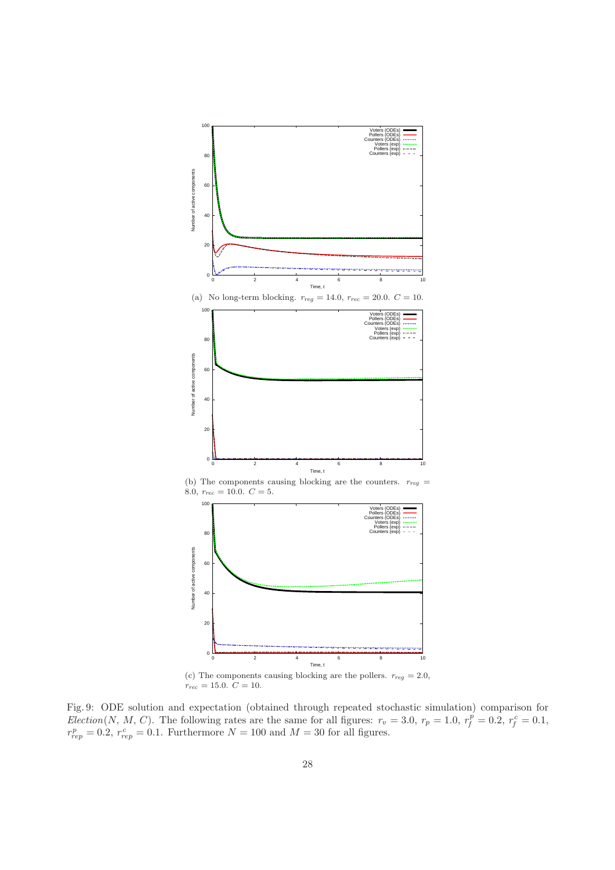

Fig. 9: ODE solution and expectation (obtained through repeated stochastic simulation) comparison for *Election*(N, M, C). The following rates are the same for all figures:  $r_v = 3.0$ ,  $r_p = 1.0$ ,  $r_f^p = 0.2$ ,  $r_f^c = 0.1$ ,  $r_{rep}^p = 0.2$ ,  $r_{rep}^c = 0.1$ . Furthermore  $N = 100$  and  $M = 30$  for all figures.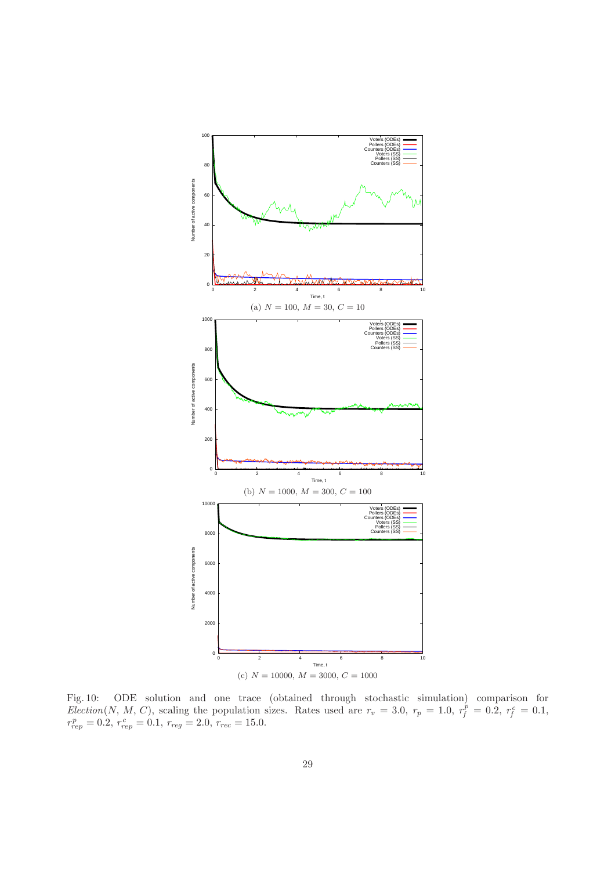

Fig. 10: ODE solution and one trace (obtained through stochastic simulation) comparison for *Election*(N, M, C), scaling the population sizes. Rates used are  $r_v = 3.0$ ,  $r_p = 1.0$ ,  $r_f^p = 0.2$ ,  $r_f^c = 0.1$ ,  $r_{rep}^p = 0.2, r_{rep}^c = 0.1, r_{reg} = 2.0, r_{rec} = 15.0.$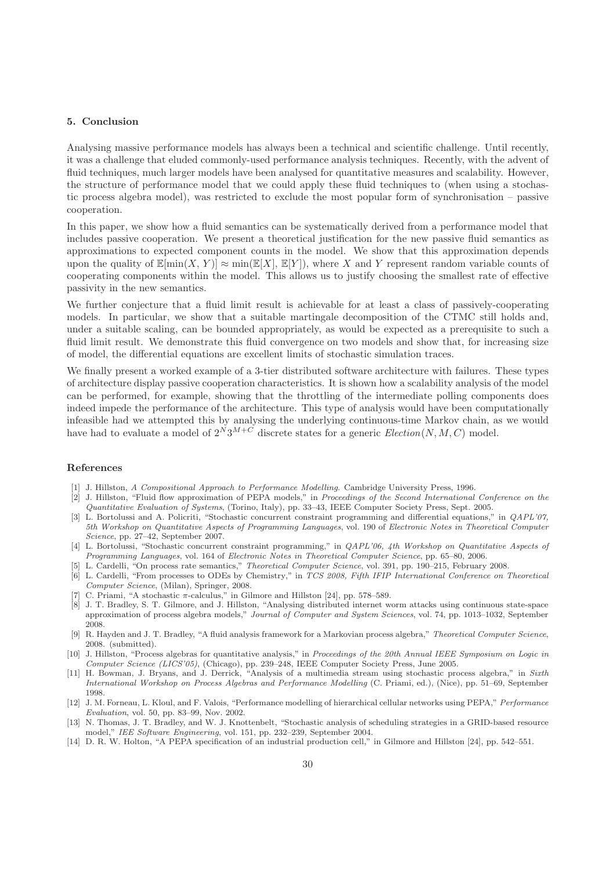#### 5. Conclusion

Analysing massive performance models has always been a technical and scientific challenge. Until recently, it was a challenge that eluded commonly-used performance analysis techniques. Recently, with the advent of fluid techniques, much larger models have been analysed for quantitative measures and scalability. However, the structure of performance model that we could apply these fluid techniques to (when using a stochastic process algebra model), was restricted to exclude the most popular form of synchronisation – passive cooperation.

In this paper, we show how a fluid semantics can be systematically derived from a performance model that includes passive cooperation. We present a theoretical justification for the new passive fluid semantics as approximations to expected component counts in the model. We show that this approximation depends upon the quality of  $\mathbb{E}[\min(X, Y)] \approx \min(\mathbb{E}[X], \mathbb{E}[Y])$ , where X and Y represent random variable counts of cooperating components within the model. This allows us to justify choosing the smallest rate of effective passivity in the new semantics.

We further conjecture that a fluid limit result is achievable for at least a class of passively-cooperating models. In particular, we show that a suitable martingale decomposition of the CTMC still holds and, under a suitable scaling, can be bounded appropriately, as would be expected as a prerequisite to such a fluid limit result. We demonstrate this fluid convergence on two models and show that, for increasing size of model, the differential equations are excellent limits of stochastic simulation traces.

We finally present a worked example of a 3-tier distributed software architecture with failures. These types of architecture display passive cooperation characteristics. It is shown how a scalability analysis of the model can be performed, for example, showing that the throttling of the intermediate polling components does indeed impede the performance of the architecture. This type of analysis would have been computationally infeasible had we attempted this by analysing the underlying continuous-time Markov chain, as we would have had to evaluate a model of  $2^N 3^{M+C}$  discrete states for a generic *Election*(N, M, C) model.

#### References

- [1] J. Hillston, *A Compositional Approach to Performance Modelling*. Cambridge University Press, 1996.
- [2] J. Hillston, "Fluid flow approximation of PEPA models," in *Proceedings of the Second International Conference on the Quantitative Evaluation of Systems*, (Torino, Italy), pp. 33–43, IEEE Computer Society Press, Sept. 2005.
- [3] L. Bortolussi and A. Policriti, "Stochastic concurrent constraint programming and differential equations," in *QAPL'07, 5th Workshop on Quantitative Aspects of Programming Languages*, vol. 190 of *Electronic Notes in Theoretical Computer Science*, pp. 27–42, September 2007.
- [4] L. Bortolussi, "Stochastic concurrent constraint programming," in *QAPL'06, 4th Workshop on Quantitative Aspects of Programming Languages*, vol. 164 of *Electronic Notes in Theoretical Computer Science*, pp. 65–80, 2006.
- [5] L. Cardelli, "On process rate semantics," *Theoretical Computer Science*, vol. 391, pp. 190–215, February 2008.
- [6] L. Cardelli, "From processes to ODEs by Chemistry," in *TCS 2008, Fifth IFIP International Conference on Theoretical Computer Science*, (Milan), Springer, 2008.
- [7] C. Priami, "A stochastic  $\pi$ -calculus," in Gilmore and Hillston [24], pp. 578–589.
- [8] J. T. Bradley, S. T. Gilmore, and J. Hillston, "Analysing distributed internet worm attacks using continuous state-space approximation of process algebra models," *Journal of Computer and System Sciences*, vol. 74, pp. 1013–1032, September 2008.
- [9] R. Hayden and J. T. Bradley, "A fluid analysis framework for a Markovian process algebra," *Theoretical Computer Science*, 2008. (submitted).
- [10] J. Hillston, "Process algebras for quantitative analysis," in *Proceedings of the 20th Annual IEEE Symposium on Logic in Computer Science (LICS'05)*, (Chicago), pp. 239–248, IEEE Computer Society Press, June 2005.
- [11] H. Bowman, J. Bryans, and J. Derrick, "Analysis of a multimedia stream using stochastic process algebra," in *Sixth International Workshop on Process Algebras and Performance Modelling* (C. Priami, ed.), (Nice), pp. 51–69, September 1998.
- [12] J. M. Forneau, L. Kloul, and F. Valois, "Performance modelling of hierarchical cellular networks using PEPA," *Performance Evaluation*, vol. 50, pp. 83–99, Nov. 2002.
- [13] N. Thomas, J. T. Bradley, and W. J. Knottenbelt, "Stochastic analysis of scheduling strategies in a GRID-based resource model," *IEE Software Engineering*, vol. 151, pp. 232–239, September 2004.
- [14] D. R. W. Holton, "A PEPA specification of an industrial production cell," in Gilmore and Hillston [24], pp. 542–551.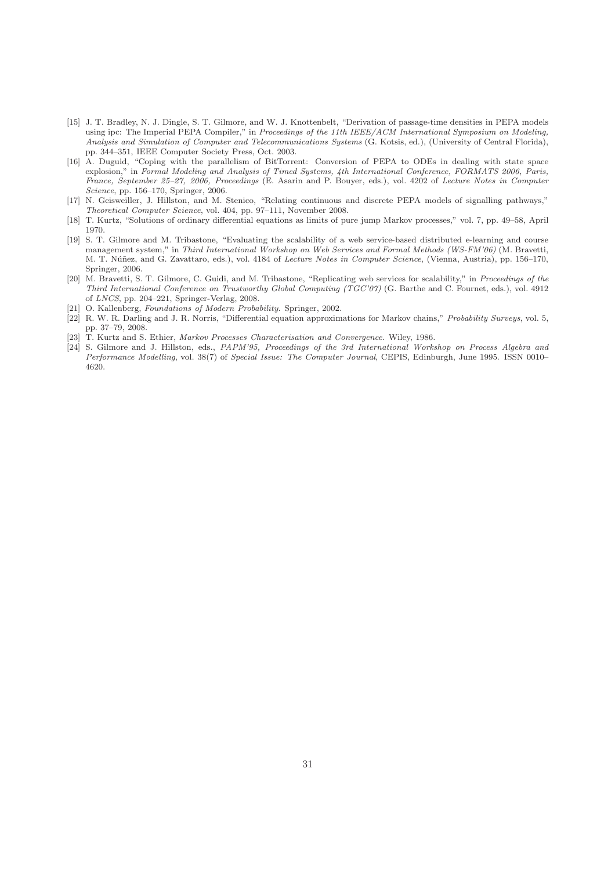- [15] J. T. Bradley, N. J. Dingle, S. T. Gilmore, and W. J. Knottenbelt, "Derivation of passage-time densities in PEPA models using ipc: The Imperial PEPA Compiler," in *Proceedings of the 11th IEEE/ACM International Symposium on Modeling, Analysis and Simulation of Computer and Telecommunications Systems* (G. Kotsis, ed.), (University of Central Florida), pp. 344–351, IEEE Computer Society Press, Oct. 2003.
- [16] A. Duguid, "Coping with the parallelism of BitTorrent: Conversion of PEPA to ODEs in dealing with state space explosion," in *Formal Modeling and Analysis of Timed Systems, 4th International Conference, FORMATS 2006, Paris, France, September 25–27, 2006, Proceedings* (E. Asarin and P. Bouyer, eds.), vol. 4202 of *Lecture Notes in Computer Science*, pp. 156–170, Springer, 2006.
- [17] N. Geisweiller, J. Hillston, and M. Stenico, "Relating continuous and discrete PEPA models of signalling pathways," *Theoretical Computer Science*, vol. 404, pp. 97–111, November 2008.
- [18] T. Kurtz, "Solutions of ordinary differential equations as limits of pure jump Markov processes," vol. 7, pp. 49–58, April 1970.
- [19] S. T. Gilmore and M. Tribastone, "Evaluating the scalability of a web service-based distributed e-learning and course management system," in *Third International Workshop on Web Services and Formal Methods (WS-FM'06)* (M. Bravetti, M. T. N´u˜nez, and G. Zavattaro, eds.), vol. 4184 of *Lecture Notes in Computer Science*, (Vienna, Austria), pp. 156–170, Springer, 2006.
- [20] M. Bravetti, S. T. Gilmore, C. Guidi, and M. Tribastone, "Replicating web services for scalability," in *Proceedings of the Third International Conference on Trustworthy Global Computing (TGC'07)* (G. Barthe and C. Fournet, eds.), vol. 4912 of *LNCS*, pp. 204–221, Springer-Verlag, 2008.
- [21] O. Kallenberg, *Foundations of Modern Probability*. Springer, 2002.
- [22] R. W. R. Darling and J. R. Norris, "Differential equation approximations for Markov chains," *Probability Surveys*, vol. 5, pp. 37–79, 2008.
- [23] T. Kurtz and S. Ethier, *Markov Processes Characterisation and Convergence*. Wiley, 1986.
- [24] S. Gilmore and J. Hillston, eds., *PAPM'95, Proceedings of the 3rd International Workshop on Process Algebra and Performance Modelling*, vol. 38(7) of *Special Issue: The Computer Journal*, CEPIS, Edinburgh, June 1995. ISSN 0010– 4620.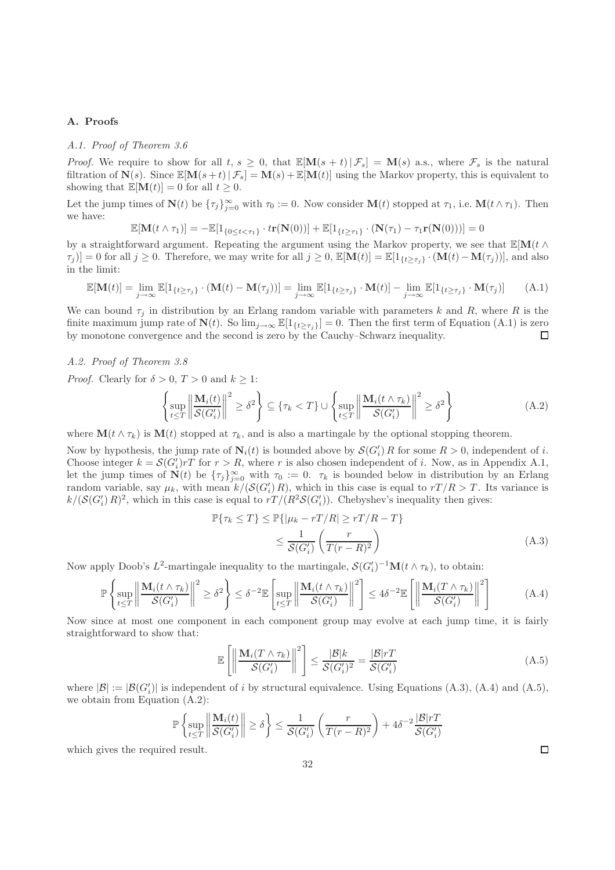## A. Proofs

## *A.1. Proof of Theorem 3.6*

*Proof.* We require to show for all  $t, s \geq 0$ , that  $\mathbb{E}[\mathbf{M}(s+t)|\mathcal{F}_s] = \mathbf{M}(s)$  a.s., where  $\mathcal{F}_s$  is the natural filtration of  $N(s)$ . Since  $\mathbb{E}[M(s+t)|\mathcal{F}_s] = M(s) + \mathbb{E}[M(t)]$  using the Markov property, this is equivalent to showing that  $\mathbb{E}[\mathbf{M}(t)] = 0$  for all  $t \geq 0$ .

Let the jump times of  $\mathbf{N}(t)$  be  $\{\tau_j\}_{j=0}^{\infty}$  with  $\tau_0 := 0$ . Now consider  $\mathbf{M}(t)$  stopped at  $\tau_1$ , i.e.  $\mathbf{M}(t \wedge \tau_1)$ . Then we have:

$$
\mathbb{E}[\mathbf{M}(t \wedge \tau_1)] = -\mathbb{E}[1_{\{0 \le t < \tau_1\}} \cdot tr(\mathbf{N}(0))] + \mathbb{E}[1_{\{t \ge \tau_1\}} \cdot (\mathbf{N}(\tau_1) - \tau_1 \mathbf{r}(\mathbf{N}(0)))] = 0
$$

by a straightforward argument. Repeating the argument using the Markov property, we see that  $\mathbb{E}[M(t \wedge$  $\tau_j$  = 0 for all  $j \geq 0$ . Therefore, we may write for all  $j \geq 0$ ,  $\mathbb{E}[\mathbf{M}(t)] = \mathbb{E}[1_{\{t > \tau_j\}} \cdot (\mathbf{M}(t) - \mathbf{M}(\tau_j))]$ , and also in the limit:

$$
\mathbb{E}[\mathbf{M}(t)] = \lim_{j \to \infty} \mathbb{E}[1_{\{t \ge \tau_j\}} \cdot (\mathbf{M}(t) - \mathbf{M}(\tau_j))] = \lim_{j \to \infty} \mathbb{E}[1_{\{t \ge \tau_j\}} \cdot \mathbf{M}(t)] - \lim_{j \to \infty} \mathbb{E}[1_{\{t \ge \tau_j\}} \cdot \mathbf{M}(\tau_j)] \tag{A.1}
$$

We can bound  $\tau_i$  in distribution by an Erlang random variable with parameters k and R, where R is the finite maximum jump rate of  $\mathbf{N}(t)$ . So  $\lim_{j\to\infty} \mathbb{E}[1_{\{t\geq \tau_j\}}] = 0$ . Then the first term of Equation (A.1) is zero by monotone convergence and the second is zero by the Cauchy–Schwarz inequality.  $\Box$ 

#### *A.2. Proof of Theorem 3.8*

*Proof.* Clearly for  $\delta > 0$ ,  $T > 0$  and  $k > 1$ :

$$
\left\{\sup_{t\leq T} \left\|\frac{\mathbf{M}_i(t)}{\mathcal{S}(G_i')}\right\|^2 \geq \delta^2\right\} \subseteq \left\{\tau_k < T\right\} \cup \left\{\sup_{t\leq T} \left\|\frac{\mathbf{M}_i(t\wedge \tau_k)}{\mathcal{S}(G_i')}\right\|^2 \geq \delta^2\right\} \tag{A.2}
$$

where  $\mathbf{M}(t \wedge \tau_k)$  is  $\mathbf{M}(t)$  stopped at  $\tau_k$ , and is also a martingale by the optional stopping theorem.

Now by hypothesis, the jump rate of  $N_i(t)$  is bounded above by  $\mathcal{S}(G_i')$  R for some  $R > 0$ , independent of i. Choose integer  $k = \mathcal{S}(G_i')rT$  for  $r > R$ , where r is also chosen independent of i. Now, as in Appendix A.1, let the jump times of  $\mathbf{N}(t)$  be  $\{\tau_j\}_{j=0}^{\infty}$  with  $\tau_0 := 0$ .  $\tau_k$  is bounded below in distribution by an Erlang random variable, say  $\mu_k$ , with mean  $k/(S(G_i) R)$ , which in this case is equal to  $rT/R > T$ . Its variance is  $k/(S(G'_{i})R)^{2}$ , which in this case is equal to  $rT/(R^{2}S(G'_{i}))$ . Chebyshev's inequality then gives:

$$
\mathbb{P}\{\tau_k \le T\} \le \mathbb{P}\{|\mu_k - rT/R| \ge rT/R - T\}
$$
\n
$$
\le \frac{1}{\mathcal{S}(G_i')} \left(\frac{r}{T(r - R)^2}\right) \tag{A.3}
$$

Now apply Doob's  $L^2$ -martingale inequality to the martingale,  $\mathcal{S}(G_i')^{-1}\mathbf{M}(t \wedge \tau_k)$ , to obtain:

$$
\mathbb{P}\left\{\sup_{t\leq T}\left\|\frac{\mathbf{M}_{i}(t\wedge\tau_{k})}{\mathcal{S}(G'_{i})}\right\|^{2}\geq\delta^{2}\right\}\leq\delta^{-2}\mathbb{E}\left\{\sup_{t\leq T}\left\|\frac{\mathbf{M}_{i}(t\wedge\tau_{k})}{\mathcal{S}(G'_{i})}\right\|^{2}\right\}\leq4\delta^{-2}\mathbb{E}\left[\left\|\frac{\mathbf{M}_{i}(T\wedge\tau_{k})}{\mathcal{S}(G'_{i})}\right\|^{2}\right]
$$
(A.4)

Now since at most one component in each component group may evolve at each jump time, it is fairly straightforward to show that:

$$
\mathbb{E}\left[\left\|\frac{\mathbf{M}_{i}(T \wedge \tau_{k})}{\mathcal{S}(G'_{i})}\right\|^{2}\right] \leq \frac{|\mathcal{B}|k}{\mathcal{S}(G'_{i})^{2}} = \frac{|\mathcal{B}|rT}{\mathcal{S}(G'_{i})}
$$
(A.5)

where  $|\mathcal{B}| := |\mathcal{B}(G'_i)|$  is independent of i by structural equivalence. Using Equations (A.3), (A.4) and (A.5), we obtain from Equation (A.2):

$$
\mathbb{P}\left\{\sup_{t\leq T}\left\|\frac{\mathbf{M}_i(t)}{\mathcal{S}(G_i')}\right\| \geq \delta\right\} \leq \frac{1}{\mathcal{S}(G_i')}\left(\frac{r}{T(r-R)^2}\right) + 4\delta^{-2}\frac{|\mathcal{B}|rT}{\mathcal{S}(G_i')}
$$

which gives the required result.

 $\Box$